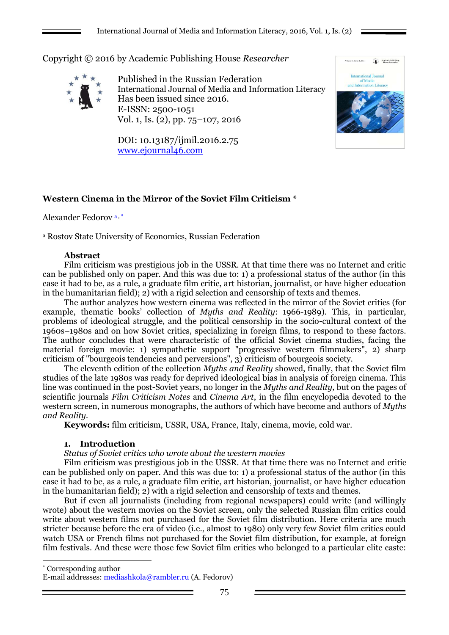Copyright © 2016 by Academic Publishing House *Researcher*



Published in the Russian Federation International Journal of Media and Information Literacy Has been issued since 2016. E-ISSN: 2500-1051 Vol. 1, Is. (2), pp. 75–107, 2016

DOI: 10.13187/ijmil.2016.2.75 [www.ejournal46.com](http://www.ejournal46.com/)



# **Western Cinema in the Mirror of the Soviet Film Criticism \***

Alexander Fedorov a , \*

<sup>a</sup> Rostov State University of Economics, Russian Federation

### **Abstract**

Film criticism was prestigious job in the USSR. At that time there was no Internet and critic can be published only on paper. And this was due to: 1) a professional status of the author (in this case it had to be, as a rule, a graduate film critic, art historian, journalist, or have higher education in the humanitarian field); 2) with a rigid selection and censorship of texts and themes.

The author analyzes how western cinema was reflected in the mirror of the Soviet critics (for example, thematic books' collection of *Myths and Reality*: 1966-1989). This, in particular, problems of ideological struggle, and the political censorship in the socio-cultural context of the 1960s–1980s and on how Soviet critics, specializing in foreign films, to respond to these factors. The author concludes that were characteristic of the official Soviet cinema studies, facing the material foreign movie: 1) sympathetic support "progressive western filmmakers", 2) sharp criticism of "bourgeois tendencies and perversions", 3) criticism of bourgeois society.

The eleventh edition of the collection *Myths and Reality* showed, finally, that the Soviet film studies of the late 1980s was ready for deprived ideological bias in analysis of foreign cinema. This line was continued in the post-Soviet years, no longer in the *Myths and Reality,* but on the pages of scientific journals *Film Criticism Notes* and *Cinema Art*, in the film encyclopedia devoted to the western screen, in numerous monographs, the authors of which have become and authors of *Myths and Reality.*

**Keywords:** film criticism, USSR, USA, France, Italy, cinema, movie, cold war.

# **1. Introduction**

1

# *Status of Soviet critics who wrote about the western movies*

Film criticism was prestigious job in the USSR. At that time there was no Internet and critic can be published only on paper. And this was due to: 1) a professional status of the author (in this case it had to be, as a rule, a graduate film critic, art historian, journalist, or have higher education in the humanitarian field); 2) with a rigid selection and censorship of texts and themes.

But if even all journalists (including from regional newspapers) could write (and willingly wrote) about the western movies on the Soviet screen, only the selected Russian film critics could write about western films not purchased for the Soviet film distribution. Here criteria are much stricter because before the era of video (i.e., almost to 1980) only very few Soviet film critics could watch USA or French films not purchased for the Soviet film distribution, for example, at foreign film festivals. And these were those few Soviet film critics who belonged to a particular elite caste:

\* Corresponding author

E-mail addresses: mediashkola@rambler.ru (A. Fedorov)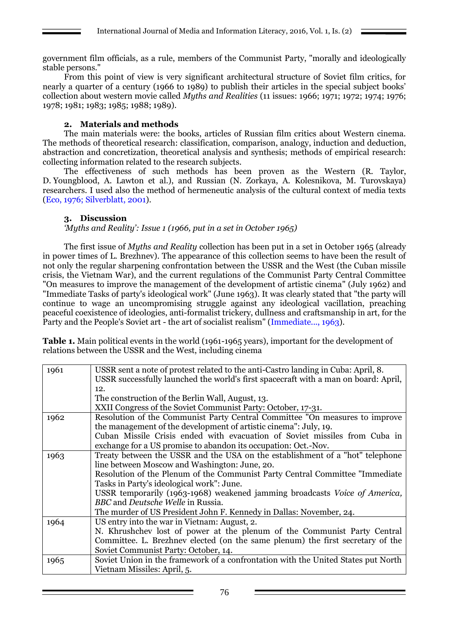government film officials, as a rule, members of the Communist Party, "morally and ideologically stable persons."

From this point of view is very significant architectural structure of Soviet film critics, for nearly a quarter of a century (1966 to 1989) to publish their articles in the special subject books' collection about western movie called *Myths and Realities* (11 issues: 1966; 1971; 1972; 1974; 1976; 1978; 1981; 1983; 1985; 1988; 1989).

### **2. Materials and methods**

The main materials were: the books, articles of Russian film critics about Western cinema. The methods of theoretical research: classification, comparison, analogy, induction and deduction, abstraction and concretization, theoretical analysis and synthesis; methods of empirical research: collecting information related to the research subjects.

The effectiveness of such methods has been proven as the Western (R. Taylor, D. Youngblood, A. Lawton et al.), and Russian (N. Zorkaya, A. Kolesnikova, M. Turovskaya) researchers. I used also the method of hermeneutic analysis of the cultural context of media texts (Eco, 1976; Silverblatt, 2001).

### **3. Discussion**

*'Myths and Reality': Issue 1 (1966, put in a set in October 1965)*

The first issue of *Myths and Reality* collection has been put in a set in October 1965 (already in power times of L. Brezhnev). The appearance of this collection seems to have been the result of not only the regular sharpening confrontation between the USSR and the West (the Cuban missile crisis, the Vietnam War), and the current regulations of the Communist Party Central Committee "On measures to improve the management of the development of artistic cinema" (July 1962) and "Immediate Tasks of party's ideological work" (June 1963). It was clearly stated that "the party will continue to wage an uncompromising struggle against any ideological vacillation, preaching peaceful coexistence of ideologies, anti-formalist trickery, dullness and craftsmanship in art, for the Party and the People's Soviet art - the art of socialist realism" (Immediate..., 1963).

**Table 1.** Main political events in the world (1961-1965 years), important for the development of relations between the USSR and the West, including cinema

| 1961 | USSR sent a note of protest related to the anti-Castro landing in Cuba: April, 8.   |  |  |  |
|------|-------------------------------------------------------------------------------------|--|--|--|
|      | USSR successfully launched the world's first spacecraft with a man on board: April, |  |  |  |
|      | 12.                                                                                 |  |  |  |
|      | The construction of the Berlin Wall, August, 13.                                    |  |  |  |
|      | XXII Congress of the Soviet Communist Party: October, 17-31.                        |  |  |  |
| 1962 | Resolution of the Communist Party Central Committee "On measures to improve         |  |  |  |
|      | the management of the development of artistic cinema": July, 19.                    |  |  |  |
|      | Cuban Missile Crisis ended with evacuation of Soviet missiles from Cuba in          |  |  |  |
|      | exchange for a US promise to abandon its occupation: Oct.-Nov.                      |  |  |  |
| 1963 | Treaty between the USSR and the USA on the establishment of a "hot" telephone       |  |  |  |
|      | line between Moscow and Washington: June, 20.                                       |  |  |  |
|      | Resolution of the Plenum of the Communist Party Central Committee "Immediate"       |  |  |  |
|      | Tasks in Party's ideological work": June.                                           |  |  |  |
|      | USSR temporarily (1963-1968) weakened jamming broadcasts Voice of America,          |  |  |  |
|      | BBC and Deutsche Welle in Russia.                                                   |  |  |  |
|      | The murder of US President John F. Kennedy in Dallas: November, 24.                 |  |  |  |
| 1964 | US entry into the war in Vietnam: August, 2.                                        |  |  |  |
|      | N. Khrushchev lost of power at the plenum of the Communist Party Central            |  |  |  |
|      | Committee. L. Brezhnev elected (on the same plenum) the first secretary of the      |  |  |  |
|      | Soviet Communist Party: October, 14.                                                |  |  |  |
| 1965 | Soviet Union in the framework of a confrontation with the United States put North   |  |  |  |
|      | Vietnam Missiles: April, 5.                                                         |  |  |  |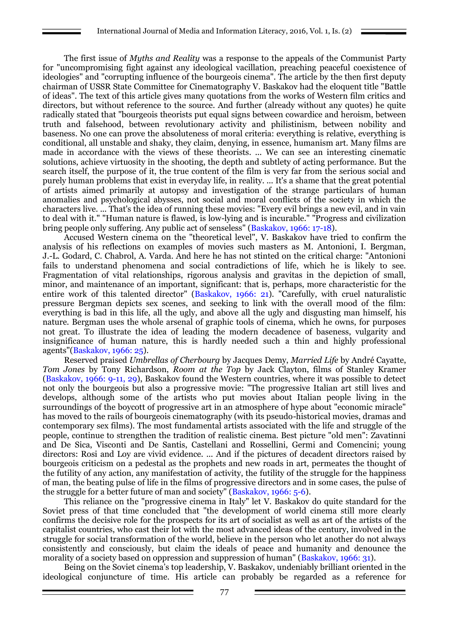The first issue of *Myths and Reality* was a response to the appeals of the Communist Party for "uncompromising fight against any ideological vacillation, preaching peaceful coexistence of ideologies" and "corrupting influence of the bourgeois cinema". The article by the then first deputy chairman of USSR State Committee for Cinematography V. Baskakov had the eloquent title "Battle of ideas". The text of this article gives many quotations from the works of Western film critics and directors, but without reference to the source. And further (already without any quotes) he quite radically stated that "bourgeois theorists put equal signs between cowardice and heroism, between truth and falsehood, between revolutionary activity and philistinism, between nobility and baseness. No one can prove the absoluteness of moral criteria: everything is relative, everything is conditional, all unstable and shaky, they claim, denying, in essence, humanism art. Many films are made in accordance with the views of these theorists. ... We can see an interesting cinematic solutions, achieve virtuosity in the shooting, the depth and subtlety of acting performance. But the search itself, the purpose of it, the true content of the film is very far from the serious social and purely human problems that exist in everyday life, in reality. ... It's a shame that the great potential of artists aimed primarily at autopsy and investigation of the strange particulars of human anomalies and psychological abysses, not social and moral conflicts of the society in which the characters live. ... That's the idea of running these movies: "Every evil brings a new evil, and in vain to deal with it." "Human nature is flawed, is low-lying and is incurable." "Progress and civilization bring people only suffering. Any public act of senseless" (Baskakov, 1966: 17-18).

Accused Western cinema on the "theoretical level", V. Baskakov have tried to confirm the analysis of his reflections on examples of movies such masters as M. Antonioni, I. Bergman, J.-L. Godard, C. Chabrol, A. Varda. And here he has not stinted on the critical charge: "Antonioni fails to understand phenomena and social contradictions of life, which he is likely to see. Fragmentation of vital relationships, rigorous analysis and gravitas in the depiction of small, minor, and maintenance of an important, significant: that is, perhaps, more characteristic for the entire work of this talented director" (Baskakov, 1966: 21). "Carefully, with cruel naturalistic pressure Bergman depicts sex scenes, and seeking to link with the overall mood of the film: everything is bad in this life, all the ugly, and above all the ugly and disgusting man himself, his nature. Bergman uses the whole arsenal of graphic tools of cinema, which he owns, for purposes not great. To illustrate the idea of leading the modern decadence of baseness, vulgarity and insignificance of human nature, this is hardly needed such a thin and highly professional agents"(Baskakov, 1966: 25).

Reserved praised *Umbrellas of Cherbourg* by Jacques Demy, *Married Life* by André Cayatte, *Tom Jones* by Tony Richardson, *Room at the Top* by Jack Clayton, films of Stanley Kramer (Baskakov, 1966: 9-11, 29), Baskakov found the Western countries, where it was possible to detect not only the bourgeois but also a progressive movie: "The progressive Italian art still lives and develops, although some of the artists who put movies about Italian people living in the surroundings of the boycott of progressive art in an atmosphere of hype about "economic miracle" has moved to the rails of bourgeois cinematography (with its pseudo-historical movies, dramas and contemporary sex films). The most fundamental artists associated with the life and struggle of the people, continue to strengthen the tradition of realistic cinema. Best picture "old men": Zavatinni and De Sica, Visconti and De Santis, Castellani and Rossellini, Germi and Comencini; young directors: Rosi and Loy are vivid evidence. ... And if the pictures of decadent directors raised by bourgeois criticism on a pedestal as the prophets and new roads in art, permeates the thought of the futility of any action, any manifestation of activity, the futility of the struggle for the happiness of man, the beating pulse of life in the films of progressive directors and in some cases, the pulse of the struggle for a better future of man and society" (Baskakov, 1966: 5-6).

This reliance on the "progressive cinema in Italy" let V. Baskakov do quite standard for the Soviet press of that time concluded that "the development of world cinema still more clearly confirms the decisive role for the prospects for its art of socialist as well as art of the artists of the capitalist countries, who cast their lot with the most advanced ideas of the century, involved in the struggle for social transformation of the world, believe in the person who let another do not always consistently and consciously, but claim the ideals of peace and humanity and denounce the morality of a society based on oppression and suppression of human" (Baskakov, 1966: 31).

Being on the Soviet cinema's top leadership, V. Baskakov, undeniably brilliant oriented in the ideological conjuncture of time. His article can probably be regarded as a reference for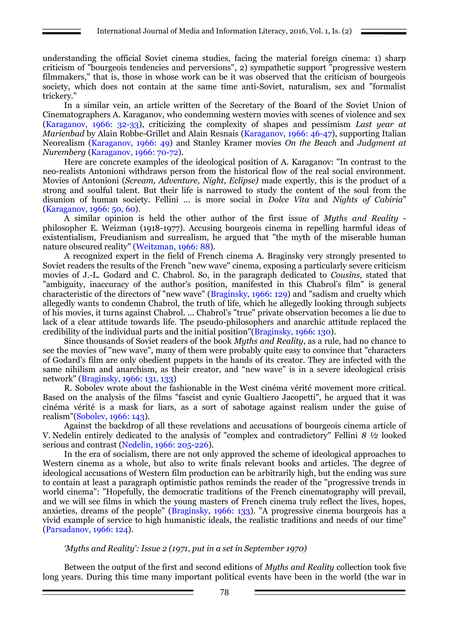understanding the official Soviet cinema studies, facing the material foreign cinema: 1) sharp criticism of "bourgeois tendencies and perversions", 2) sympathetic support "progressive western filmmakers," that is, those in whose work can be it was observed that the criticism of bourgeois society, which does not contain at the same time anti-Soviet, naturalism, sex and "formalist trickery."

In a similar vein, an article written of the Secretary of the Board of the Soviet Union of Cinematographers A. Karaganov, who condemning western movies with scenes of violence and sex (Karaganov, 1966: 32-33), criticizing the complexity of shapes and pessimism *Last year at Marienbad by Alain Robbe-Grillet and Alain Resnais (Karaganov, 1966: 46-47), supporting Italian* Neorealism (Karaganov, 1966: 49) and Stanley Kramer movies *On the Beach* and *Judgment at Nuremberg* (Karaganov, 1966: 70-72).

Here are concrete examples of the ideological position of A. Karaganov: "In contrast to the neo-realists Antonioni withdraws person from the historical flow of the real social environment. Movies of Antonioni (*Scream, Adventure, Night, Eclipse)* made expertly, this is the product of a strong and soulful talent. But their life is narrowed to study the content of the soul from the disunion of human society. Fellini ... is more social in *Dolce Vita* and *Nights of Cabiria*" (Karaganov, 1966: 50, 60).

A similar opinion is held the other author of the first issue of *Myths and Reality* philosopher E. Weizman (1918-1977). Accusing bourgeois cinema in repelling harmful ideas of existentialism, Freudianism and surrealism, he argued that "the myth of the miserable human nature obscured reality" (Weitzman, 1966: 88).

A recognized expert in the field of French cinema A. Braginsky very strongly presented to Soviet readers the results of the French "new wave" cinema, exposing a particularly severe criticism movies of J.-L. Godard and C. Chabrol. So, in the paragraph dedicated to *Cousins,* stated that "ambiguity, inaccuracy of the author's position, manifested in this Chabrol's film" is general characteristic of the directors of "new wave" (Braginsky, 1966: 129) and "sadism and cruelty which allegedly wants to condemn Chabrol, the truth of life, which he allegedly looking through subjects of his movies, it turns against Chabrol. ... Chabrol's "true" private observation becomes a lie due to lack of a clear attitude towards life. The pseudo-philosophers and anarchic attitude replaced the credibility of the individual parts and the initial position"(Braginsky, 1966: 130).

Since thousands of Soviet readers of the book *Myths and Reality*, as a rule, had no chance to see the movies of "new wave", many of them were probably quite easy to convince that "characters of Godard's film are only obedient puppets in the hands of its creator. They are infected with the same nihilism and anarchism, as their creator, and "new wave" is in a severe ideological crisis network" (Braginsky, 1966: 131, 133)

R. Sobolev wrote about the fashionable in the West cinéma vérité movement more critical. Based on the analysis of the films "fascist and cynic Gualtiero Jacopetti", he argued that it was cinéma vérité is a mask for liars, as a sort of sabotage against realism under the guise of realism"(Sobolev, 1966: 143).

Against the backdrop of all these revelations and accusations of bourgeois cinema article of V. Nedelin entirely dedicated to the analysis of "complex and contradictory" Fellini *8 ½* looked serious and contrast (Nedelin, 1966: 205-226).

In the era of socialism, there are not only approved the scheme of ideological approaches to Western cinema as a whole, but also to write finals relevant books and articles. The degree of ideological accusations of Western film production can be arbitrarily high, but the ending was sure to contain at least a paragraph optimistic pathos reminds the reader of the "progressive trends in world cinema": "Hopefully, the democratic traditions of the French cinematography will prevail, and we will see films in which the young masters of French cinema truly reflect the lives, hopes, anxieties, dreams of the people" (Braginsky, 1966: 133). "A progressive cinema bourgeois has a vivid example of service to high humanistic ideals, the realistic traditions and needs of our time" (Parsadanov, 1966: 124).

#### *'Myths and Reality': Issue 2 (1971, put in a set in September 1970)*

Between the output of the first and second editions of *Myths and Reality* collection took five long years. During this time many important political events have been in the world (the war in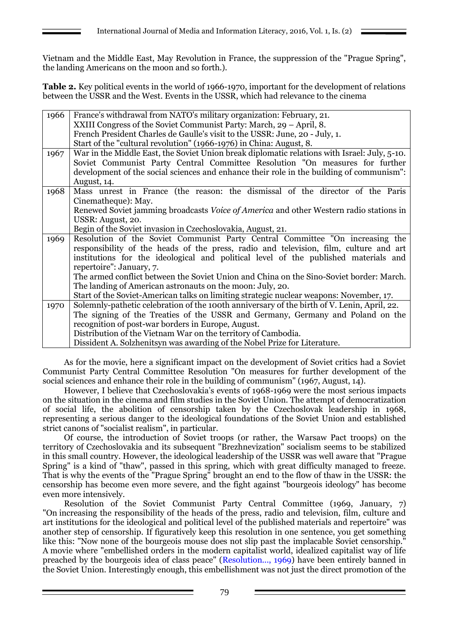Vietnam and the Middle East, May Revolution in France, the suppression of the "Prague Spring", the landing Americans on the moon and so forth.).

**Table 2.** Key political events in the world of 1966-1970, important for the development of relations between the USSR and the West. Events in the USSR, which had relevance to the cinema

| 1966 | France's withdrawal from NATO's military organization: February, 21.                         |  |  |  |
|------|----------------------------------------------------------------------------------------------|--|--|--|
|      | XXIII Congress of the Soviet Communist Party: March, 29 – April, 8.                          |  |  |  |
|      | French President Charles de Gaulle's visit to the USSR: June, 20 - July, 1.                  |  |  |  |
|      | Start of the "cultural revolution" (1966-1976) in China: August, 8.                          |  |  |  |
| 1967 | War in the Middle East, the Soviet Union break diplomatic relations with Israel: July, 5-10. |  |  |  |
|      | Soviet Communist Party Central Committee Resolution "On measures for further                 |  |  |  |
|      | development of the social sciences and enhance their role in the building of communism":     |  |  |  |
|      | August, 14.                                                                                  |  |  |  |
| 1968 | Mass unrest in France (the reason: the dismissal of the director of the Paris                |  |  |  |
|      | Cinematheque): May.                                                                          |  |  |  |
|      | Renewed Soviet jamming broadcasts Voice of America and other Western radio stations in       |  |  |  |
|      | USSR: August, 20.                                                                            |  |  |  |
|      | Begin of the Soviet invasion in Czechoslovakia, August, 21.                                  |  |  |  |
| 1969 | Resolution of the Soviet Communist Party Central Committee "On increasing the                |  |  |  |
|      | responsibility of the heads of the press, radio and television, film, culture and art        |  |  |  |
|      | institutions for the ideological and political level of the published materials and          |  |  |  |
|      | repertoire": January, 7.                                                                     |  |  |  |
|      | The armed conflict between the Soviet Union and China on the Sino-Soviet border: March.      |  |  |  |
|      | The landing of American astronauts on the moon: July, 20.                                    |  |  |  |
|      | Start of the Soviet-American talks on limiting strategic nuclear weapons: November, 17.      |  |  |  |
| 1970 | Solemnly-pathetic celebration of the 100th anniversary of the birth of V. Lenin, April, 22.  |  |  |  |
|      | The signing of the Treaties of the USSR and Germany, Germany and Poland on the               |  |  |  |
|      | recognition of post-war borders in Europe, August.                                           |  |  |  |
|      | Distribution of the Vietnam War on the territory of Cambodia.                                |  |  |  |
|      | Dissident A. Solzhenitsyn was awarding of the Nobel Prize for Literature.                    |  |  |  |

As for the movie, here a significant impact on the development of Soviet critics had a Soviet Communist Party Central Committee Resolution "On measures for further development of the social sciences and enhance their role in the building of communism" (1967, August, 14).

However, I believe that Czechoslovakia's events of 1968-1969 were the most serious impacts on the situation in the cinema and film studies in the Soviet Union. The attempt of democratization of social life, the abolition of censorship taken by the Czechoslovak leadership in 1968, representing a serious danger to the ideological foundations of the Soviet Union and established strict canons of "socialist realism", in particular.

Of course, the introduction of Soviet troops (or rather, the Warsaw Pact troops) on the territory of Czechoslovakia and its subsequent "Brezhnevization" socialism seems to be stabilized in this small country. However, the ideological leadership of the USSR was well aware that "Prague Spring" is a kind of "thaw", passed in this spring, which with great difficulty managed to freeze. That is why the events of the "Prague Spring" brought an end to the flow of thaw in the USSR: the censorship has become even more severe, and the fight against "bourgeois ideology" has become even more intensively.

Resolution of the Soviet Communist Party Central Committee (1969, January, 7) "On increasing the responsibility of the heads of the press, radio and television, film, culture and art institutions for the ideological and political level of the published materials and repertoire" was another step of censorship. If figuratively keep this resolution in one sentence, you get something like this: "Now none of the bourgeois mouse does not slip past the implacable Soviet censorship." A movie where "embellished orders in the modern capitalist world, idealized capitalist way of life preached by the bourgeois idea of class peace" (Resolution..., 1969) have been entirely banned in the Soviet Union. Interestingly enough, this embellishment was not just the direct promotion of the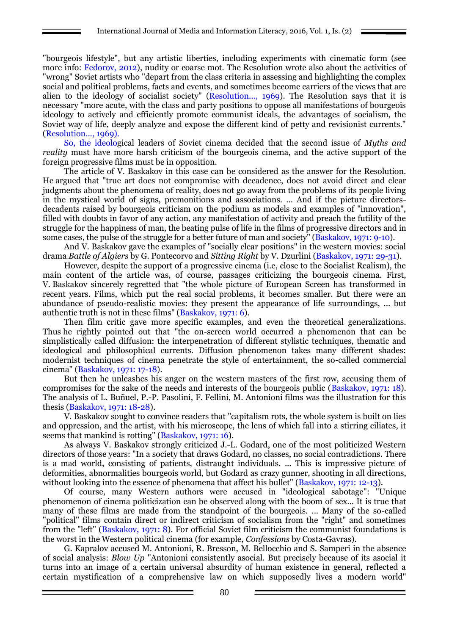"bourgeois lifestyle", but any artistic liberties, including experiments with cinematic form (see more info: Fedorov, 2012), nudity or coarse mot. The Resolution wrote also about the activities of "wrong" Soviet artists who "depart from the class criteria in assessing and highlighting the complex social and political problems, facts and events, and sometimes become carriers of the views that are alien to the ideology of socialist society" (Resolution..., 1969). The Resolution says that it is necessary "more acute, with the class and party positions to oppose all manifestations of bourgeois ideology to actively and efficiently promote communist ideals, the advantages of socialism, the Soviet way of life, deeply analyze and expose the different kind of petty and revisionist currents." (Resolution..., 1969).

So, the ideological leaders of Soviet cinema decided that the second issue of *Myths and reality* must have more harsh criticism of the bourgeois cinema, and the active support of the foreign progressive films must be in opposition.

The article of V. Baskakov in this case can be considered as the answer for the Resolution. He argued that "true art does not compromise with decadence, does not avoid direct and clear judgments about the phenomena of reality, does not go away from the problems of its people living in the mystical world of signs, premonitions and associations. ... And if the picture directorsdecadents raised by bourgeois criticism on the podium as models and examples of "innovation", filled with doubts in favor of any action, any manifestation of activity and preach the futility of the struggle for the happiness of man, the beating pulse of life in the films of progressive directors and in some cases, the pulse of the struggle for a better future of man and society" (Baskakov, 1971: 9-10).

And V. Baskakov gave the examples of "socially clear positions" in the western movies: social drama *Battle of Algiers* by G. Pontecorvo and *Sitting Right* by V. Dzurlini (Baskakov, 1971: 29-31).

However, despite the support of a progressive cinema (i.e, close to the Socialist Realism), the main content of the article was, of course, passages criticizing the bourgeois cinema. First, V. Baskakov sincerely regretted that "the whole picture of European Screen has transformed in recent years. Films, which put the real social problems, it becomes smaller. But there were an abundance of pseudo-realistic movies: they present the appearance of life surroundings, ... but authentic truth is not in these films" (Baskakov, 1971: 6).

Then film critic gave more specific examples, and even the theoretical generalizations. Thus he rightly pointed out that "the on-screen world occurred a phenomenon that can be simplistically called diffusion: the interpenetration of different stylistic techniques, thematic and ideological and philosophical currents. Diffusion phenomenon takes many different shades: modernist techniques of cinema penetrate the style of entertainment, the so-called commercial cinema" (Baskakov, 1971: 17-18).

But then he unleashes his anger on the western masters of the first row, accusing them of compromises for the sake of the needs and interests of the bourgeois public (Baskakov, 1971: 18). The analysis of L. Buñuel, P.-P. Pasolini, F. Fellini, M. Antonioni films was the illustration for this thesis (Baskakov, 1971: 18-28).

V. Baskakov sought to convince readers that "capitalism rots, the whole system is built on lies and oppression, and the artist, with his microscope, the lens of which fall into a stirring ciliates, it seems that mankind is rotting" (Baskakov, 1971: 16).

As always V. Baskakov strongly criticized J.-L. Godard, one of the most politicized Western directors of those years: "In a society that draws Godard, no classes, no social contradictions. There is a mad world, consisting of patients, distraught individuals. ... This is impressive picture of deformities, abnormalities bourgeois world, but Godard as crazy gunner, shooting in all directions, without looking into the essence of phenomena that affect his bullet" (Baskakov, 1971: 12-13).

Of course, many Western authors were accused in "ideological sabotage": "Unique phenomenon of cinema politicization can be observed along with the boom of sex... It is true that many of these films are made from the standpoint of the bourgeois. ... Many of the so-called "political" films contain direct or indirect criticism of socialism from the "right" and sometimes from the "left" (Baskakov, 1971: 8). For official Soviet film criticism the communist foundations is the worst in the Western political cinema (for example, *Confessions* by Costa-Gavras).

G. Kapralov accused M. Antonioni, R. Bresson, M. Bellocchio and S. Samperi in the absence of social analysis: *Blow Up* "Antonioni consistently asocial. But precisely because of its asocial it turns into an image of a certain universal absurdity of human existence in general, reflected a certain mystification of a comprehensive law on which supposedly lives a modern world"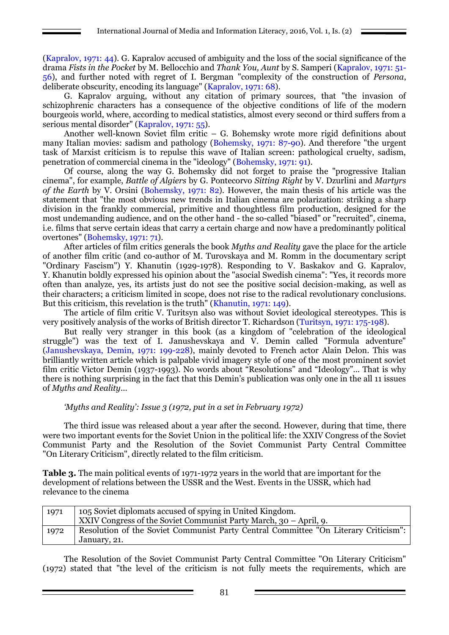(Kapralov, 1971: 44). G. Kapralov accused of ambiguity and the loss of the social significance of the drama *Fists in the Pocket* by M. Bellocchio and *Thank You, Aunt* by S. Samperi (Kapralov, 1971: 51- 56), and further noted with regret of I. Bergman "complexity of the construction of *Persona*, deliberate obscurity, encoding its language" (Kapralov, 1971: 68).

G. Kapralov arguing, without any citation of primary sources, that "the invasion of schizophrenic characters has a consequence of the objective conditions of life of the modern bourgeois world, where, according to medical statistics, almost every second or third suffers from a serious mental disorder" (Kapralov, 1971: 55).

Another well-known Soviet film critic – G. Bohemsky wrote more rigid definitions about many Italian movies: sadism and pathology (Bohemsky, 1971: 87-90). And therefore "the urgent task of Marxist criticism is to repulse this wave of Italian screen: pathological cruelty, sadism, penetration of commercial cinema in the "ideology" (Bohemsky, 1971: 91).

Of course, along the way G. Bohemsky did not forget to praise the "progressive Italian cinema", for example, *Battle of Algiers* by G. Pontecorvo *Sitting Right* by V. Dzurlini and *Martyrs of the Earth* by V. Orsini (Bohemsky, 1971: 82). However, the main thesis of his article was the statement that "the most obvious new trends in Italian cinema are polarization: striking a sharp division in the frankly commercial, primitive and thoughtless film production, designed for the most undemanding audience, and on the other hand - the so-called "biased" or "recruited", cinema, i.e. films that serve certain ideas that carry a certain charge and now have a predominantly political overtones" (Bohemsky, 1971: 71).

After articles of film critics generals the book *Myths and Reality* gave the place for the article of another film critic (and co-author of M. Turovskaya and M. Romm in the documentary script "Ordinary Fascism") Y. Khanutin (1929-1978). Responding to V. Baskakov and G. Kapralov, Y. Khanutin boldly expressed his opinion about the "asocial Swedish cinema": "Yes, it records more often than analyze, yes, its artists just do not see the positive social decision-making, as well as their characters; a criticism limited in scope, does not rise to the radical revolutionary conclusions. But this criticism, this revelation is the truth" (Khanutin, 1971: 149).

The article of film critic V. Turitsyn also was without Soviet ideological stereotypes. This is very positively analysis of the works of British director T. Richardson (Turitsyn, 1971: 175-198).

But really very stranger in this book (as a kingdom of "celebration of the ideological struggle") was the text of I. Janushevskaya and V. Demin called "Formula adventure" (Janushevskaya, Demin, 1971: 199-228), mainly devoted to French actor Alain Delon. This was brilliantly written article which is palpable vivid imagery style of one of the most prominent soviet film critic Victor Demin (1937-1993). No words about "Resolutions" and "Ideology"... That is why there is nothing surprising in the fact that this Demin's publication was only one in the all 11 issues of *Myths and Reality*...

#### *'Myths and Reality': Issue 3 (1972, put in a set in February 1972)*

The third issue was released about a year after the second. However, during that time, there were two important events for the Soviet Union in the political life: the XXIV Congress of the Soviet Communist Party and the Resolution of the Soviet Communist Party Central Committee "On Literary Criticism", directly related to the film criticism.

**Table 3.** The main political events of 1971-1972 years in the world that are important for the development of relations between the USSR and the West. Events in the USSR, which had relevance to the cinema

| 1971 | 105 Soviet diplomats accused of spying in United Kingdom.                           |  |  |  |
|------|-------------------------------------------------------------------------------------|--|--|--|
|      | XXIV Congress of the Soviet Communist Party March, $30 -$ April, 9.                 |  |  |  |
| 1972 | Resolution of the Soviet Communist Party Central Committee "On Literary Criticism": |  |  |  |
|      | January, 21.                                                                        |  |  |  |

The Resolution of the Soviet Communist Party Central Committee "On Literary Criticism" (1972) stated that "the level of the criticism is not fully meets the requirements, which are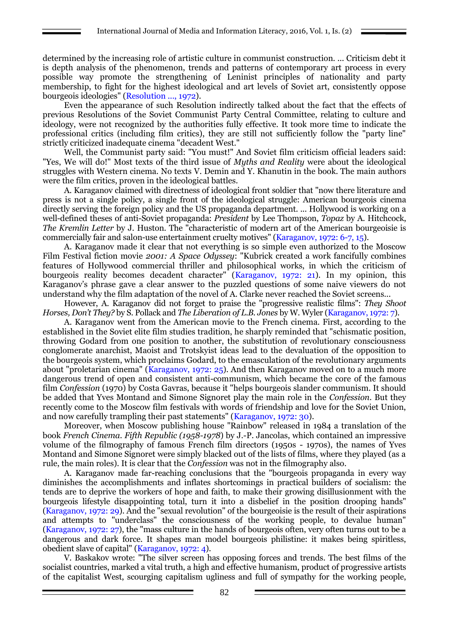determined by the increasing role of artistic culture in communist construction. ... Criticism debt it is depth analysis of the phenomenon, trends and patterns of contemporary art process in every possible way promote the strengthening of Leninist principles of nationality and party membership, to fight for the highest ideological and art levels of Soviet art, consistently oppose bourgeois ideologies" (Resolution ..., 1972).

Even the appearance of such Resolution indirectly talked about the fact that the effects of previous Resolutions of the Soviet Communist Party Central Committee, relating to culture and ideology, were not recognized by the authorities fully effective. It took more time to indicate the professional critics (including film critics), they are still not sufficiently follow the "party line" strictly criticized inadequate cinema "decadent West."

Well, the Communist party said: "You must!" And Soviet film criticism official leaders said: "Yes, We will do!" Most texts of the third issue of *Myths and Reality* were about the ideological struggles with Western cinema. No texts V. Demin and Y. Khanutin in the book. The main authors were the film critics, proven in the ideological battles.

A. Karaganov claimed with directness of ideological front soldier that "now there literature and press is not a single policy, a single front of the ideological struggle: American bourgeois cinema directly serving the foreign policy and the US propaganda department. ... Hollywood is working on a well-defined theses of anti-Soviet propaganda: *President* by Lee Thompson, *Topaz* by A. Hitchcock, *The Kremlin Letter* by J. Huston. The "characteristic of modern art of the American bourgeoisie is commercially fair and salon-use entertainment cruelty motives" (Karaganov, 1972: 6-7, 15).

A. Karaganov made it clear that not everything is so simple even authorized to the Moscow Film Festival fiction movie *2001: A Space Odyssey*: "Kubrick created a work fancifully combines features of Hollywood commercial thriller and philosophical works, in which the criticism of bourgeois reality becomes decadent character" (Karaganov, 1972: 21). In my opinion, this Karaganov's phrase gave a clear answer to the puzzled questions of some naive viewers do not understand why the film adaptation of the novel of A. Clarke never reached the Soviet screens...

However, A. Karaganov did not forget to praise the "progressive realistic films": *They Shoot Horses, Don't They?* by S. Pollack and *The Liberation of L.B. Jones* by W. Wyler (Karaganov, 1972: 7).

A. Karaganov went from the American movie to the French cinema. First, according to the established in the Soviet elite film studies tradition, he sharply reminded that "schismatic position, throwing Godard from one position to another, the substitution of revolutionary consciousness conglomerate anarchist, Maoist and Trotskyist ideas lead to the devaluation of the opposition to the bourgeois system, which proclaims Godard, to the emasculation of the revolutionary arguments about "proletarian cinema" (Karaganov, 1972: 25). And then Karaganov moved on to a much more dangerous trend of open and consistent anti-communism, which became the core of the famous film *Confession* (1970) by Costa Gavras, because it "helps bourgeois slander communism. It should be added that Yves Montand and Simone Signoret play the main role in the *Confession.* But they recently come to the Moscow film festivals with words of friendship and love for the Soviet Union, and now carefully trampling their past statements" (Karaganov, 1972: 30).

Moreover, when Moscow publishing house "Rainbow" released in 1984 a translation of the book *French Cinema. Fifth Republic (1958-1978*) by J.-P. Jancolas, which contained an impressive volume of the filmography of famous French film directors (1950s - 1970s), the names of Yves Montand and Simone Signoret were simply blacked out of the lists of films, where they played (as a rule, the main roles). It is clear that the *Confession* was not in the filmography also.

A. Karaganov made far-reaching conclusions that the "bourgeois propaganda in every way diminishes the accomplishments and inflates shortcomings in practical builders of socialism: the tends are to deprive the workers of hope and faith, to make their growing disillusionment with the bourgeois lifestyle disappointing total, turn it into a disbelief in the position drooping hands" (Karaganov, 1972: 29). And the "sexual revolution" of the bourgeoisie is the result of their aspirations and attempts to "underclass" the consciousness of the working people, to devalue human" (Karaganov, 1972: 27), the "mass culture in the hands of bourgeois often, very often turns out to be a dangerous and dark force. It shapes man model bourgeois philistine: it makes being spiritless, obedient slave of capital" (Karaganov, 1972: 4).

V. Baskakov wrote: "The silver screen has opposing forces and trends. The best films of the socialist countries, marked a vital truth, a high and effective humanism, product of progressive artists of the capitalist West, scourging capitalism ugliness and full of sympathy for the working people,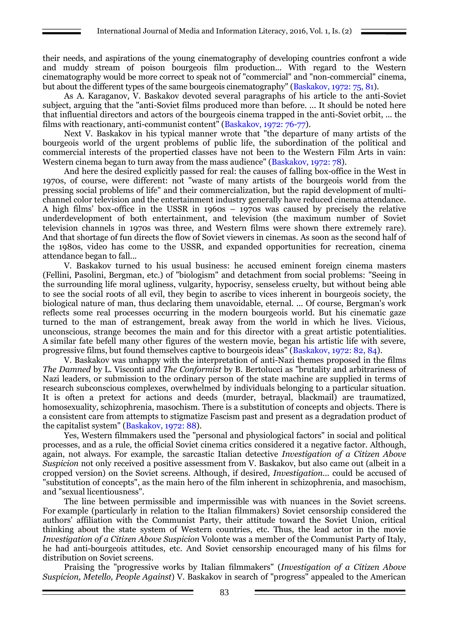their needs, and aspirations of the young cinematography of developing countries confront a wide and muddy stream of poison bourgeois film production... With regard to the Western cinematography would be more correct to speak not of "commercial" and "non-commercial" cinema, but about the different types of the same bourgeois cinematography" (Baskakov, 1972: 75, 81).

As A. Karaganov, V. Baskakov devoted several paragraphs of his article to the anti-Soviet subject, arguing that the "anti-Soviet films produced more than before. ... It should be noted here that influential directors and actors of the bourgeois cinema trapped in the anti-Soviet orbit, ... the films with reactionary, anti-communist content" (Baskakov, 1972: 76-77).

Next V. Baskakov in his typical manner wrote that "the departure of many artists of the bourgeois world of the urgent problems of public life, the subordination of the political and commercial interests of the propertied classes have not been to the Western Film Arts in vain: Western cinema began to turn away from the mass audience" (Baskakov, 1972: 78).

And here the desired explicitly passed for real: the causes of falling box-office in the West in 1970s, of course, were different: not "waste of many artists of the bourgeois world from the pressing social problems of life" and their commercialization, but the rapid development of multichannel color television and the entertainment industry generally have reduced cinema attendance. A high films' box-office in the USSR in 1960s – 1970s was caused by precisely the relative underdevelopment of both entertainment, and television (the maximum number of Soviet television channels in 1970s was three, and Western films were shown there extremely rare). And that shortage of fun directs the flow of Soviet viewers in cinemas. As soon as the second half of the 1980s, video has come to the USSR, and expanded opportunities for recreation, cinema attendance began to fall...

V. Baskakov turned to his usual business: he accused eminent foreign cinema masters (Fellini, Pasolini, Bergman, etc.) of "biologism" and detachment from social problems: "Seeing in the surrounding life moral ugliness, vulgarity, hypocrisy, senseless cruelty, but without being able to see the social roots of all evil, they begin to ascribe to vices inherent in bourgeois society, the biological nature of man, thus declaring them unavoidable, eternal. ... Of course, Bergman's work reflects some real processes occurring in the modern bourgeois world. But his cinematic gaze turned to the man of estrangement, break away from the world in which he lives. Vicious, unconscious, strange becomes the main and for this director with a great artistic potentialities. A similar fate befell many other figures of the western movie, began his artistic life with severe, progressive films, but found themselves captive to bourgeois ideas" (Baskakov, 1972: 82, 84).

V. Baskakov was unhappy with the interpretation of anti-Nazi themes proposed in the films *The Damned* by L. Visconti and *The Conformist* by B. Bertolucci as "brutality and arbitrariness of Nazi leaders, or submission to the ordinary person of the state machine are supplied in terms of research subconscious complexes, overwhelmed by individuals belonging to a particular situation. It is often a pretext for actions and deeds (murder, betrayal, blackmail) are traumatized, homosexuality, schizophrenia, masochism. There is a substitution of concepts and objects. There is a consistent care from attempts to stigmatize Fascism past and present as a degradation product of the capitalist system" (Baskakov, 1972: 88).

Yes, Western filmmakers used the "personal and physiological factors" in social and political processes, and as a rule, the official Soviet cinema critics considered it a negative factor. Although, again, not always. For example, the sarcastic Italian detective *Investigation of a Citizen Above Suspicion* not only received a positive assessment from V. Baskakov, but also came out (albeit in a cropped version) on the Soviet screens. Although, if desired, *Investigation...* could be accused of "substitution of concepts", as the main hero of the film inherent in schizophrenia, and masochism, and "sexual licentiousness".

The line between permissible and impermissible was with nuances in the Soviet screens. For example (particularly in relation to the Italian filmmakers) Soviet censorship considered the authors' affiliation with the Communist Party, their attitude toward the Soviet Union, critical thinking about the state system of Western countries, etc. Thus, the lead actor in the movie *Investigation of a Citizen Above Suspicion* Volonte was a member of the Communist Party of Italy, he had anti-bourgeois attitudes, etc. And Soviet censorship encouraged many of his films for distribution on Soviet screens.

Praising the "progressive works by Italian filmmakers" (*Investigation of a Citizen Above Suspicion, Metello, People Against*) V. Baskakov in search of "progress" appealed to the American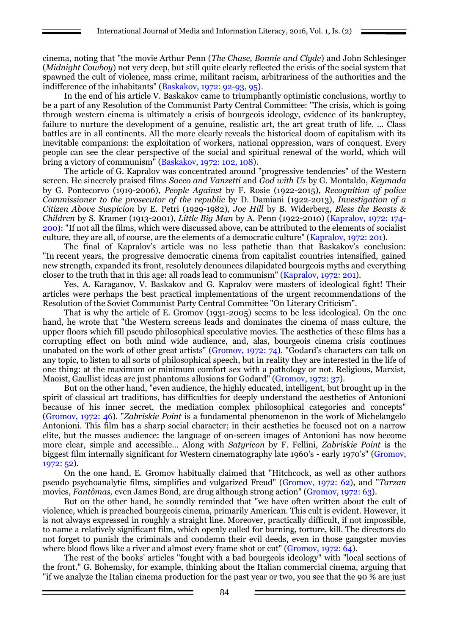cinema, noting that "the movie Arthur Penn (*The Chase, Bonnie and Clyde*) and John Schlesinger (*Midnight Cowboy*) not very deep, but still quite clearly reflected the crisis of the social system that spawned the cult of violence, mass crime, militant racism, arbitrariness of the authorities and the indifference of the inhabitants" (Baskakov, 1972: 92-93, 95).

In the end of his article V. Baskakov came to triumphantly optimistic conclusions, worthy to be a part of any Resolution of the Communist Party Central Committee: "The crisis, which is going through western cinema is ultimately a crisis of bourgeois ideology, evidence of its bankruptcy, failure to nurture the development of a genuine, realistic art, the art great truth of life. ... Class battles are in all continents. All the more clearly reveals the historical doom of capitalism with its inevitable companions: the exploitation of workers, national oppression, wars of conquest. Every people can see the clear perspective of the social and spiritual renewal of the world, which will bring a victory of communism" (Baskakov, 1972: 102, 108).

The article of G. Kapralov was concentrated around "progressive tendencies" of the Western screen. He sincerely praised films *Sacco and Vanzetti* and *God with Us* by G. Montaldo, *Keymada*  by G. Pontecorvo (1919-2006), *People Against* by F. Rosie (1922-2015), *Recognition of police Commissioner to the prosecutor of the republic* by D. Damiani (1922-2013), *Investigation of a Citizen Above Suspicion* by E. Petri (1929-1982), *Joe Hill* by B. Widerberg, *Bless the Beasts & Children* by S. Kramer (1913-2001), *Little Big Man* by A. Penn (1922-2010) (Kapralov, 1972: 174- 200): "If not all the films, which were discussed above, can be attributed to the elements of socialist culture, they are all, of course, are the elements of a democratic culture" (Kapralov, 1972: 201).

The final of Kapralov's article was no less pathetic than that Baskakov's conclusion: "In recent years, the progressive democratic cinema from capitalist countries intensified, gained new strength, expanded its front, resolutely denounces dilapidated bourgeois myths and everything closer to the truth that in this age: all roads lead to communism" (Kapralov, 1972: 201).

Yes, A. Karaganov, V. Baskakov and G. Kapralov were masters of ideological fight! Their articles were perhaps the best practical implementations of the urgent recommendations of the Resolution of the Soviet Communist Party Central Committee "On Literary Criticism".

That is why the article of E. Gromov (1931-2005) seems to be less ideological. On the one hand, he wrote that "the Western screens leads and dominates the cinema of mass culture, the upper floors which fill pseudo philosophical speculative movies. The aesthetics of these films has a corrupting effect on both mind wide audience, and, alas, bourgeois cinema crisis continues unabated on the work of other great artists" (Gromov, 1972: 74). "Godard's characters can talk on any topic, to listen to all sorts of philosophical speech, but in reality they are interested in the life of one thing: at the maximum or minimum comfort sex with a pathology or not. Religious, Marxist, Maoist, Gaullist ideas are just phantoms allusions for Godard" (Gromov, 1972: 37).

But on the other hand, "even audience, the highly educated, intelligent, but brought up in the spirit of classical art traditions, has difficulties for deeply understand the aesthetics of Antonioni because of his inner secret, the mediation complex philosophical categories and concepts" (Gromov, 1972: 46). "*Zabriskie Point* is a fundamental phenomenon in the work of Michelangelo Antonioni. This film has a sharp social character; in their aesthetics he focused not on a narrow elite, but the masses audience: the language of on-screen images of Antonioni has now become more clear, simple and accessible… Along with *Satyricon* by F. Fellini, *Zabriskie Point* is the biggest film internally significant for Western cinematography late 1960's - early 1970's" (Gromov, 1972: 52).

On the one hand, E. Gromov habitually claimed that "Hitchcock, as well as other authors pseudo psychoanalytic films, simplifies and vulgarized Freud" (Gromov, 1972: 62), and "*Tarzan* movies, *Fantômas,* even James Bond, are drug although strong action" (Gromov, 1972: 63).

But on the other hand, he soundly reminded that "we have often written about the cult of violence, which is preached bourgeois cinema, primarily American. This cult is evident. However, it is not always expressed in roughly a straight line. Moreover, practically difficult, if not impossible, to name a relatively significant film, which openly called for burning, torture, kill. The directors do not forget to punish the criminals and condemn their evil deeds, even in those gangster movies where blood flows like a river and almost every frame shot or cut" (Gromov, 1972: 64).

The rest of the books' articles "fought with a bad bourgeois ideology" with "local sections of the front." G. Bohemsky, for example, thinking about the Italian commercial cinema, arguing that "if we analyze the Italian cinema production for the past year or two, you see that the 90 % are just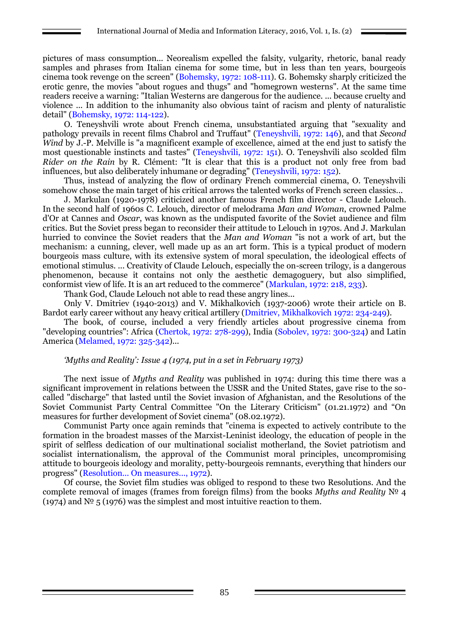pictures of mass consumption... Neorealism expelled the falsity, vulgarity, rhetoric, banal ready samples and phrases from Italian cinema for some time, but in less than ten years, bourgeois cinema took revenge on the screen" (Bohemsky, 1972: 108-111). G. Bohemsky sharply criticized the erotic genre, the movies "about rogues and thugs" and "homegrown westerns". At the same time readers receive a warning: "Italian Westerns are dangerous for the audience. ... because cruelty and violence ... In addition to the inhumanity also obvious taint of racism and plenty of naturalistic detail" (Bohemsky, 1972: 114-122).

O. Teneyshvili wrote about French cinema, unsubstantiated arguing that "sexuality and pathology prevails in recent films Chabrol and Truffaut" (Teneyshvili, 1972: 146), and that *Second Wind* by J.-P. Melville is "a magnificent example of excellence, aimed at the end just to satisfy the most questionable instincts and tastes" (Teneyshvili, 1972: 151). O. Teneyshvili also scolded film *Rider on the Rain* by R. Clément: "It is clear that this is a product not only free from bad influences, but also deliberately inhumane or degrading" (Teneyshvili, 1972: 152).

Thus, instead of analyzing the flow of ordinary French commercial cinema, O. Teneyshvili somehow chose the main target of his critical arrows the talented works of French screen classics...

J. Markulan (1920-1978) criticized another famous French film director - Claude Lelouch. In the second half of 1960s C. Lelouch, director of melodrama *Man and Woman*, crowned Palme d'Or at Cannes and *Oscar*, was known as the undisputed favorite of the Soviet audience and film critics. But the Soviet press began to reconsider their attitude to Lelouch in 1970s. And J. Markulan hurried to convince the Soviet readers that the *Man and Woman* "is not a work of art, but the mechanism: a cunning, clever, well made up as an art form. This is a typical product of modern bourgeois mass culture, with its extensive system of moral speculation, the ideological effects of emotional stimulus. ... Creativity of Claude Lelouch, especially the on-screen trilogy, is a dangerous phenomenon, because it contains not only the aesthetic demagoguery, but also simplified, conformist view of life. It is an art reduced to the commerce" (Markulan, 1972: 218, 233).

Thank God, Claude Lelouch not able to read these angry lines...

Only V. Dmitriev (1940-2013) and V. Mikhalkovich (1937-2006) wrote their article on B. Bardot early career without any heavy critical artillery (Dmitriev, Mikhalkovich 1972: 234-249).

The book, of course, included a very friendly articles about progressive cinema from "developing countries": Africa (Chertok, 1972: 278-299), India (Sobolev, 1972: 300-324) and Latin America (Melamed, 1972: 325-342)*...*

#### *'Myths and Reality': Issue 4 (1974, put in a set in February 1973)*

The next issue of *Myths and Reality* was published in 1974: during this time there was a significant improvement in relations between the USSR and the United States, gave rise to the socalled "discharge" that lasted until the Soviet invasion of Afghanistan, and the Resolutions of the Soviet Communist Party Central Committee "On the Literary Criticism" (01.21.1972) and "On measures for further development of Soviet cinema" (08.02.1972).

Communist Party once again reminds that "cinema is expected to actively contribute to the formation in the broadest masses of the Marxist-Leninist ideology, the education of people in the spirit of selfless dedication of our multinational socialist motherland, the Soviet patriotism and socialist internationalism, the approval of the Communist moral principles, uncompromising attitude to bourgeois ideology and morality, petty-bourgeois remnants, everything that hinders our progress" (Resolution... On measures..., 1972).

Of course, the Soviet film studies was obliged to respond to these two Resolutions. And the complete removal of images (frames from foreign films) from the books *Myths and Reality* № 4 (1974) and  $N^{\circ}$  5 (1976) was the simplest and most intuitive reaction to them.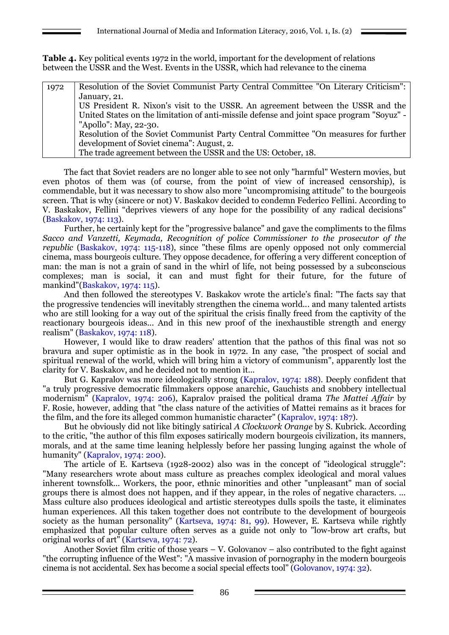**Table 4.** Key political events 1972 in the world, important for the development of relations between the USSR and the West. Events in the USSR, which had relevance to the cinema

| 1972 | Resolution of the Soviet Communist Party Central Committee "On Literary Criticism":       |
|------|-------------------------------------------------------------------------------------------|
|      | January, 21.                                                                              |
|      | US President R. Nixon's visit to the USSR. An agreement between the USSR and the          |
|      | United States on the limitation of anti-missile defense and joint space program "Soyuz" - |
|      | "Apollo": May, 22-30.                                                                     |
|      | Resolution of the Soviet Communist Party Central Committee "On measures for further       |
|      | development of Soviet cinema": August, 2.                                                 |
|      | The trade agreement between the USSR and the US: October, 18.                             |

The fact that Soviet readers are no longer able to see not only "harmful" Western movies, but even photos of them was (of course, from the point of view of increased censorship), is commendable, but it was necessary to show also more "uncompromising attitude" to the bourgeois screen. That is why (sincere or not) V. Baskakov decided to condemn Federico Fellini. According to V. Baskakov, Fellini "deprives viewers of any hope for the possibility of any radical decisions" (Baskakov, 1974: 113).

Further, he certainly kept for the "progressive balance" and gave the compliments to the films *Sacco and Vanzetti, Keymada, Recognition of police Commissioner to the prosecutor of the republic* (Baskakov, 1974: 115-118), since "these films are openly opposed not only commercial cinema, mass bourgeois culture. They oppose decadence, for offering a very different conception of man: the man is not a grain of sand in the whirl of life, not being possessed by a subconscious complexes; man is social, it can and must fight for their future, for the future of mankind"(Baskakov, 1974: 115).

And then followed the stereotypes V. Baskakov wrote the article's final: "The facts say that the progressive tendencies will inevitably strengthen the cinema world... and many talented artists who are still looking for a way out of the spiritual the crisis finally freed from the captivity of the reactionary bourgeois ideas... And in this new proof of the inexhaustible strength and energy realism" (Baskakov, 1974: 118).

However, I would like to draw readers' attention that the pathos of this final was not so bravura and super optimistic as in the book in 1972. In any case, "the prospect of social and spiritual renewal of the world, which will bring him a victory of communism", apparently lost the clarity for V. Baskakov, and he decided not to mention it...

But G. Kapralov was more ideologically strong (Kapralov, 1974: 188). Deeply confident that "a truly progressive democratic filmmakers oppose anarchic, Gauchists and snobbery intellectual modernism" (Kapralov, 1974: 206), Kapralov praised the political drama *The Mattei Affair* by F. Rosie, however, adding that "the class nature of the activities of Mattei remains as it braces for the film, and the fore its alleged common humanistic character" (Kapralov, 1974: 187).

But he obviously did not like bitingly satirical *A Clockwork Orange* by S. Kubrick. According to the critic, "the author of this film exposes satirically modern bourgeois civilization, its manners, morals, and at the same time leaning helplessly before her passing lunging against the whole of humanity" (Kapralov, 1974; 200).

The article of E. Kartseva (1928-2002) also was in the concept of "ideological struggle": "Many researchers wrote about mass culture as preaches complex ideological and moral values inherent townsfolk... Workers, the poor, ethnic minorities and other "unpleasant" man of social groups there is almost does not happen, and if they appear, in the roles of negative characters. ... Mass culture also produces ideological and artistic stereotypes dulls spoils the taste, it eliminates human experiences. All this taken together does not contribute to the development of bourgeois society as the human personality" (Kartseva, 1974: 81, 99). However, E. Kartseva while rightly emphasized that popular culture often serves as a guide not only to "low-brow art crafts, but original works of art" (Kartseva, 1974: 72).

Another Soviet film critic of those years – V. Golovanov – also contributed to the fight against "the corrupting influence of the West": "A massive invasion of pornography in the modern bourgeois cinema is not accidental. Sex has become a social special effects tool" (Golovanov, 1974: 32).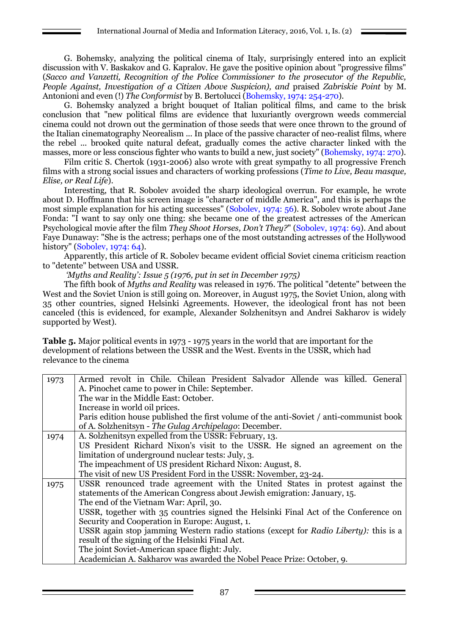G. Bohemsky, analyzing the political cinema of Italy, surprisingly entered into an explicit discussion with V. Baskakov and G. Kapralov. He gave the positive opinion about "progressive films" (*Sacco and Vanzetti, Recognition of the Police Commissioner to the prosecutor of the Republic, People Against, Investigation of a Citizen Above Suspicion), and* praised *Zabriskie Point* by M. Antonioni and even (!) *The Conformist* by B. Bertolucci (Bohemsky, 1974: 254-270).

G. Bohemsky analyzed a bright bouquet of Italian political films, and came to the brisk conclusion that "new political films are evidence that luxuriantly overgrown weeds commercial cinema could not drown out the germination of those seeds that were once thrown to the ground of the Italian cinematography Neorealism ... In place of the passive character of neo-realist films, where the rebel ... brooked quite natural defeat, gradually comes the active character linked with the masses, more or less conscious fighter who wants to build a new, just society" (Bohemsky, 1974: 270).

Film critic S. Chertok (1931-2006) also wrote with great sympathy to all progressive French films with a strong social issues and characters of working professions (*Time to Live, Beau masque, Elise, or Real Life*).

Interesting, that R. Sobolev avoided the sharp ideological overrun. For example, he wrote about D. Hoffmann that his screen image is "character of middle America", and this is perhaps the most simple explanation for his acting successes" (Sobolev, 1974: 56). R. Sobolev wrote about Jane Fonda: "I want to say only one thing: she became one of the greatest actresses of the American Psychological movie after the film *They Shoot Horses, Don't They?*" (Sobolev, 1974: 69). And about Faye Dunaway: "She is the actress; perhaps one of the most outstanding actresses of the Hollywood history" (Sobolev, 1974: 64).

Apparently, this article of R. Sobolev became evident official Soviet cinema criticism reaction to "detente" between USA and USSR.

*'Myths and Reality': Issue 5 (1976, put in set in December 1975)*

The fifth book of *Myths and Reality* was released in 1976. The political "detente" between the West and the Soviet Union is still going on. Moreover, in August 1975, the Soviet Union, along with 35 other countries, signed Helsinki Agreements. However, the ideological front has not been canceled (this is evidenced, for example, Alexander Solzhenitsyn and Andrei Sakharov is widely supported by West).

**Table 5.** Major political events in 1973 - 1975 years in the world that are important for the development of relations between the USSR and the West. Events in the USSR, which had relevance to the cinema

| 1973 | Armed revolt in Chile. Chilean President Salvador Allende was killed. General           |  |  |  |  |
|------|-----------------------------------------------------------------------------------------|--|--|--|--|
|      | A. Pinochet came to power in Chile: September.                                          |  |  |  |  |
|      | The war in the Middle East: October.                                                    |  |  |  |  |
|      | Increase in world oil prices.                                                           |  |  |  |  |
|      | Paris edition house published the first volume of the anti-Soviet / anti-communist book |  |  |  |  |
|      | of A. Solzhenitsyn - The Gulag Archipelago: December.                                   |  |  |  |  |
| 1974 | A. Solzhenitsyn expelled from the USSR: February, 13.                                   |  |  |  |  |
|      | US President Richard Nixon's visit to the USSR. He signed an agreement on the           |  |  |  |  |
|      | limitation of underground nuclear tests: July, 3.                                       |  |  |  |  |
|      | The impeachment of US president Richard Nixon: August, 8.                               |  |  |  |  |
|      | The visit of new US President Ford in the USSR: November, 23-24.                        |  |  |  |  |
| 1975 | USSR renounced trade agreement with the United States in protest against the            |  |  |  |  |
|      | statements of the American Congress about Jewish emigration: January, 15.               |  |  |  |  |
|      | The end of the Vietnam War: April, 30.                                                  |  |  |  |  |
|      | USSR, together with 35 countries signed the Helsinki Final Act of the Conference on     |  |  |  |  |
|      | Security and Cooperation in Europe: August, 1.                                          |  |  |  |  |
|      | USSR again stop jamming Western radio stations (except for Radio Liberty): this is a    |  |  |  |  |
|      | result of the signing of the Helsinki Final Act.                                        |  |  |  |  |
|      | The joint Soviet-American space flight: July.                                           |  |  |  |  |
|      | Academician A. Sakharov was awarded the Nobel Peace Prize: October, 9.                  |  |  |  |  |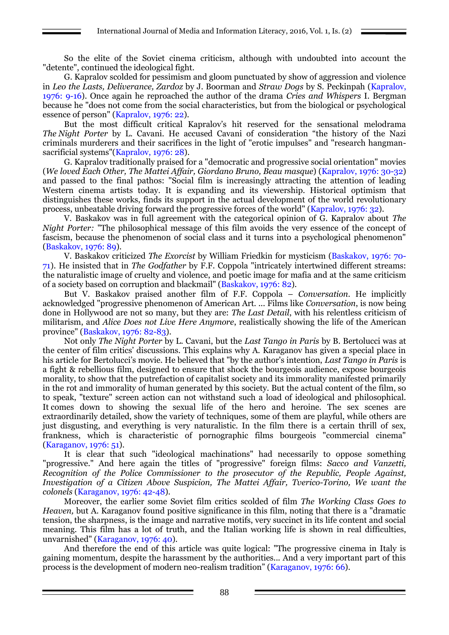So the elite of the Soviet cinema criticism, although with undoubted into account the "detente", continued the ideological fight.

G. Kapralov scolded for pessimism and gloom punctuated by show of aggression and violence in *Leo the Lasts, Deliverance, Zardoz* by J. Boorman and *Straw Dogs* by S. Peckinpah (Kapralov, 1976: 9-16). Once again he reproached the author of the drama *Cries and Whispers* I. Bergman because he "does not come from the social characteristics, but from the biological or psychological essence of person" (Kapralov, 1976: 22).

But the most difficult critical Kapralov's hit reserved for the sensational melodrama *The Night Porter* by L. Cavani. He accused Cavani of consideration "the history of the Nazi criminals murderers and their sacrifices in the light of "erotic impulses" and "research hangmansacrificial systems"(Kapralov, 1976: 28).

G. Kapralov traditionally praised for a "democratic and progressive social orientation" movies (*We loved Each Other, The Mattei Affair, Giordano Bruno, Beau masque*) (Kapralov, 1976: 30-32) and passed to the final pathos: "Social film is increasingly attracting the attention of leading Western cinema artists today. It is expanding and its viewership. Historical optimism that distinguishes these works, finds its support in the actual development of the world revolutionary process, unbeatable driving forward the progressive forces of the world" (Kapralov, 1976: 32).

V. Baskakov was in full agreement with the categorical opinion of G. Kapralov about *The Night Porter:* "The philosophical message of this film avoids the very essence of the concept of fascism, because the phenomenon of social class and it turns into a psychological phenomenon" (Baskakov, 1976: 89).

V. Baskakov criticized *The Exorcist* by William Friedkin for mysticism (Baskakov, 1976: 70- 71). He insisted that in *The Godfather* by F.F. Coppola "intricately intertwined different streams: the naturalistic image of cruelty and violence, and poetic image for mafia and at the same criticism of a society based on corruption and blackmail" (Baskakov, 1976: 82).

But V. Baskakov praised another film of F.F. Coppola – *Conversation.* He implicitly acknowledged "progressive phenomenon of American Art. ... Films like *Conversation*, is now being done in Hollywood are not so many, but they are: *The Last Detail*, with his relentless criticism of militarism, and *Alice Does not Live Here Anymore*, realistically showing the life of the American province" (Baskakov, 1976: 82-83).

Not only *The Night Porter* by L. Cavani, but the *Last Tango in Paris* by B. Bertolucci was at the center of film critics' discussions. This explains why A. Karaganov has given a special place in his article for Bertolucci's movie. He believed that "by the author's intention, *Last Tango in Paris* is a fight & rebellious film, designed to ensure that shock the bourgeois audience, expose bourgeois morality, to show that the putrefaction of capitalist society and its immorality manifested primarily in the rot and immorality of human generated by this society. But the actual content of the film, so to speak, "texture" screen action can not withstand such a load of ideological and philosophical. It comes down to showing the sexual life of the hero and heroine. The sex scenes are extraordinarily detailed, show the variety of techniques, some of them are playful, while others are just disgusting, and everything is very naturalistic. In the film there is a certain thrill of sex, frankness, which is characteristic of pornographic films bourgeois "commercial cinema" (Karaganov, 1976: 51).

It is clear that such "ideological machinations" had necessarily to oppose something "progressive." And here again the titles of "progressive" foreign films: *Sacco and Vanzetti, Recognition of the Police Commissioner to the prosecutor of the Republic, People Against, Investigation of a Citizen Above Suspicion, The Mattei Affair, Tverico-Torino, We want the colonels* (Karaganov, 1976: 42-48).

Moreover, the earlier some Soviet film critics scolded of film *The Working Class Goes to Heaven,* but A. Karaganov found positive significance in this film, noting that there is a "dramatic tension, the sharpness, is the image and narrative motifs, very succinct in its life content and social meaning. This film has a lot of truth, and the Italian working life is shown in real difficulties, unvarnished" (Karaganov, 1976: 40).

And therefore the end of this article was quite logical: "The progressive cinema in Italy is gaining momentum, despite the harassment by the authorities... And a very important part of this process is the development of modern neo-realism tradition" (Karaganov, 1976: 66).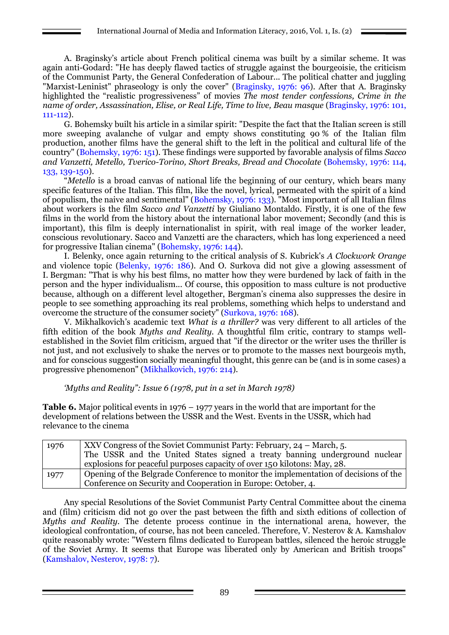A. Braginsky's article about French political cinema was built by a similar scheme. It was again anti-Godard: "He has deeply flawed tactics of struggle against the bourgeoisie, the criticism of the Communist Party, the General Confederation of Labour... The political chatter and juggling "Marxist-Leninist" phraseology is only the cover" (Braginsky, 1976: 96). After that A. Braginsky highlighted the "realistic progressiveness" of movies *The most tender confessions, Crime in the name of order, Assassination, Elise, or Real Life, Time to live, Beau masque* (Braginsky, 1976: 101, 111-112).

G. Bohemsky built his article in a similar spirit: "Despite the fact that the Italian screen is still more sweeping avalanche of vulgar and empty shows constituting 90 % of the Italian film production, another films have the general shift to the left in the political and cultural life of the country" (Bohemsky, 1976: 151). These findings were supported by favorable analysis of films *Sacco and Vanzetti, Metello, Tverico-Torino, Short Breaks, Bread and Chocolate* (Bohemsky, 1976: 114, 133, 139-150).

"*Metello* is a broad canvas of national life the beginning of our century, which bears many specific features of the Italian. This film, like the novel, lyrical, permeated with the spirit of a kind of populism, the naive and sentimental" (Bohemsky, 1976: 133). "Most important of all Italian films about workers is the film *Sacco and Vanzetti* by Giuliano Montaldo. Firstly, it is one of the few films in the world from the history about the international labor movement; Secondly (and this is important), this film is deeply internationalist in spirit, with real image of the worker leader, conscious revolutionary. Sacco and Vanzetti are the characters, which has long experienced a need for progressive Italian cinema" (Bohemsky, 1976: 144).

I. Belenky, once again returning to the critical analysis of S. Kubrick's *A Clockwork Orange* and violence topic (Belenky, 1976: 186). And O. Surkova did not give a glowing assessment of I. Bergman: "That is why his best films, no matter how they were burdened by lack of faith in the person and the hyper individualism... Of course, this opposition to mass culture is not productive because, although on a different level altogether, Bergman's cinema also suppresses the desire in people to see something approaching its real problems, something which helps to understand and overcome the structure of the consumer society" (Surkova, 1976: 168).

V. Mikhalkovich's academic text *What is a thriller?* was very different to all articles of the fifth edition of the book *Myths and Reality.* A thoughtful film critic, contrary to stamps wellestablished in the Soviet film criticism, argued that "if the director or the writer uses the thriller is not just, and not exclusively to shake the nerves or to promote to the masses next bourgeois myth, and for conscious suggestion socially meaningful thought, this genre can be (and is in some cases) a progressive phenomenon" (Mikhalkovich, 1976: 214).

*'Myths and Reality": Issue 6 (1978, put in a set in March 1978)*

**Table 6.** Major political events in 1976 – 1977 years in the world that are important for the development of relations between the USSR and the West. Events in the USSR, which had relevance to the cinema

| 1976 | XXV Congress of the Soviet Communist Party: February, 24 – March, 5.                 |  |  |  |
|------|--------------------------------------------------------------------------------------|--|--|--|
|      | The USSR and the United States signed a treaty banning underground nuclear           |  |  |  |
|      | explosions for peaceful purposes capacity of over 150 kilotons: May, 28.             |  |  |  |
| 1977 | Opening of the Belgrade Conference to monitor the implementation of decisions of the |  |  |  |
|      | Conference on Security and Cooperation in Europe: October, 4.                        |  |  |  |

Any special Resolutions of the Soviet Communist Party Central Committee about the cinema and (film) criticism did not go over the past between the fifth and sixth editions of collection of *Myths and Reality.* The detente process continue in the international arena, however, the ideological confrontation, of course, has not been canceled. Therefore, V. Nesterov & A. Kamshalov quite reasonably wrote: "Western films dedicated to European battles, silenced the heroic struggle of the Soviet Army. It seems that Europe was liberated only by American and British troops" (Kamshalov, Nesterov, 1978: 7).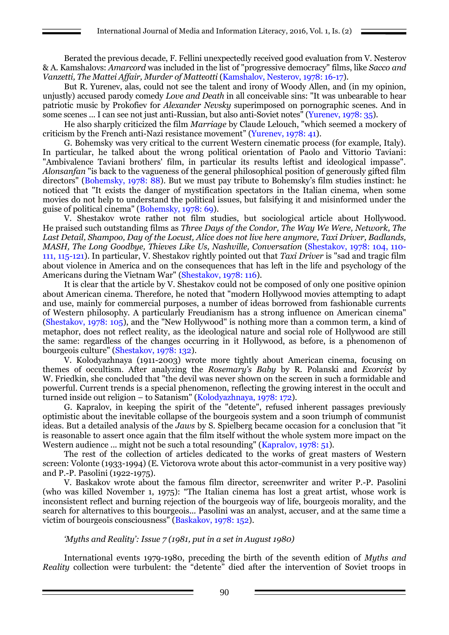Berated the previous decade, F. Fellini unexpectedly received good evaluation from V. Nesterov & A. Kamshalovs: *Amarcord* was included in the list of "progressive democracy" films, like *Sacco and Vanzetti, The Mattei Affair, Murder of Matteotti* (Kamshalov, Nesterov, 1978: 16-17).

But R. Yurenev, alas, could not see the talent and irony of Woody Allen, and (in my opinion, unjustly) accused parody comedy *Love and Death* in all conceivable sins: "It was unbearable to hear patriotic music by Prokofiev for *Alexander Nevsky* superimposed on pornographic scenes. And in some scenes ... I can see not just anti-Russian, but also anti-Soviet notes" (Yurenev, 1978: 35).

He also sharply criticized the film *Marriage* by Claude Lelouch, "which seemed a mockery of criticism by the French anti-Nazi resistance movement" (Yurenev, 1978: 41).

G. Bohemsky was very critical to the current Western cinematic process (for example, Italy). In particular, he talked about the wrong political orientation of Paolo and Vittorio Taviani: "Ambivalence Taviani brothers' film, in particular its results leftist and ideological impasse". *Alonsanfan* "is back to the vagueness of the general philosophical position of generously gifted film directors" (Bohemsky, 1978: 88). But we must pay tribute to Bohemsky's film studies instinct: he noticed that "It exists the danger of mystification spectators in the Italian cinema, when some movies do not help to understand the political issues, but falsifying it and misinformed under the guise of political cinema" (Bohemsky, 1978: 69).

V. Shestakov wrote rather not film studies, but sociological article about Hollywood. He praised such outstanding films as *Three Days of the Condor, The Way We Were, Network, The Last Detail, Shampoo, Day of the Locust, Alice does not live here anymore, Taxi Driver, Badlands, MASH, The Long Goodbye, Thieves Like Us, Nashville, Conversation* (Shestakov, 1978: 104, 110- 111, 115-121). In particular, V. Shestakov rightly pointed out that *Taxi Driver* is "sad and tragic film about violence in America and on the consequences that has left in the life and psychology of the Americans during the Vietnam War" (Shestakov, 1978: 116).

It is clear that the article by V. Shestakov could not be composed of only one positive opinion about American cinema. Therefore, he noted that "modern Hollywood movies attempting to adapt and use, mainly for commercial purposes, a number of ideas borrowed from fashionable currents of Western philosophy. A particularly Freudianism has a strong influence on American cinema" (Shestakov, 1978: 105), and the "New Hollywood" is nothing more than a common term, a kind of metaphor, does not reflect reality, as the ideological nature and social role of Hollywood are still the same: regardless of the changes occurring in it Hollywood, as before, is a phenomenon of bourgeois culture" (Shestakov, 1978: 132).

V. Kolodyazhnaya (1911-2003) wrote more tightly about American cinema, focusing on themes of occultism. After analyzing the *Rosemary's Baby* by R. Polanski and *Exorcist* by W. Friedkin, she concluded that "the devil was never shown on the screen in such a formidable and powerful. Current trends is a special phenomenon, reflecting the growing interest in the occult and turned inside out religion – to Satanism" (Kolodyazhnaya, 1978: 172).

G. Kapralov, in keeping the spirit of the "detente", refused inherent passages previously optimistic about the inevitable collapse of the bourgeois system and a soon triumph of communist ideas. But a detailed analysis of the *Jaws* by S. Spielberg became occasion for a conclusion that "it is reasonable to assert once again that the film itself without the whole system more impact on the Western audience ... might not be such a total resounding" (Kapralov, 1978: 51).

The rest of the collection of articles dedicated to the works of great masters of Western screen: Volonte (1933-1994) (E. Victorova wrote about this actor-communist in a very positive way) and P.-P. Pasolini (1922-1975).

V. Baskakov wrote about the famous film director, screenwriter and writer P.-P. Pasolini (who was killed November 1, 1975): "The Italian cinema has lost a great artist, whose work is inconsistent reflect and burning rejection of the bourgeois way of life, bourgeois morality, and the search for alternatives to this bourgeois... Pasolini was an analyst, accuser, and at the same time a victim of bourgeois consciousness" (Baskakov, 1978: 152).

#### *'Myths and Reality': Issue 7 (1981, put in a set in August 1980)*

International events 1979-1980, preceding the birth of the seventh edition of *Myths and Reality* collection were turbulent: the "detente" died after the intervention of Soviet troops in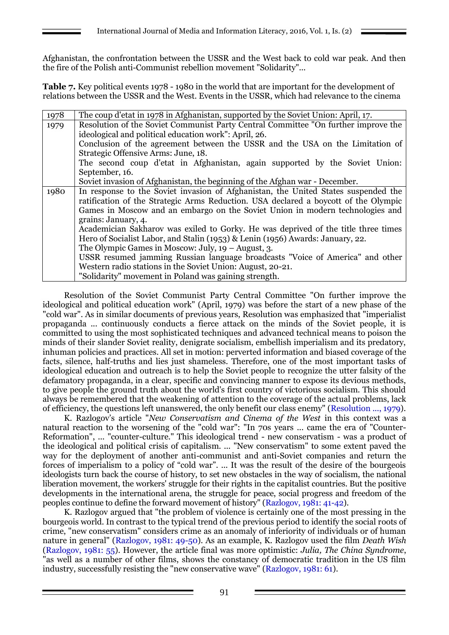Afghanistan, the confrontation between the USSR and the West back to cold war peak. And then the fire of the Polish anti-Communist rebellion movement "Solidarity"...

**Table 7.** Key political events 1978 - 1980 in the world that are important for the development of relations between the USSR and the West. Events in the USSR, which had relevance to the cinema

| 1978 | The coup d'etat in 1978 in Afghanistan, supported by the Soviet Union: April, 17.   |  |  |  |  |
|------|-------------------------------------------------------------------------------------|--|--|--|--|
| 1979 | Resolution of the Soviet Communist Party Central Committee "On further improve the  |  |  |  |  |
|      | ideological and political education work": April, 26.                               |  |  |  |  |
|      | Conclusion of the agreement between the USSR and the USA on the Limitation of       |  |  |  |  |
|      | Strategic Offensive Arms: June, 18.                                                 |  |  |  |  |
|      | The second coup d'etat in Afghanistan, again supported by the Soviet Union:         |  |  |  |  |
|      | September, 16.                                                                      |  |  |  |  |
|      | Soviet invasion of Afghanistan, the beginning of the Afghan war - December.         |  |  |  |  |
| 1980 | In response to the Soviet invasion of Afghanistan, the United States suspended the  |  |  |  |  |
|      | ratification of the Strategic Arms Reduction. USA declared a boycott of the Olympic |  |  |  |  |
|      | Games in Moscow and an embargo on the Soviet Union in modern technologies and       |  |  |  |  |
|      | grains: January, 4.                                                                 |  |  |  |  |
|      | Academician Sakharov was exiled to Gorky. He was deprived of the title three times  |  |  |  |  |
|      | Hero of Socialist Labor, and Stalin (1953) & Lenin (1956) Awards: January, 22.      |  |  |  |  |
|      | The Olympic Games in Moscow: July, $19 -$ August, 3.                                |  |  |  |  |
|      | USSR resumed jamming Russian language broadcasts "Voice of America" and other       |  |  |  |  |
|      | Western radio stations in the Soviet Union: August, 20-21.                          |  |  |  |  |
|      | "Solidarity" movement in Poland was gaining strength.                               |  |  |  |  |

Resolution of the Soviet Communist Party Central Committee "On further improve the ideological and political education work" (April, 1979) was before the start of a new phase of the "cold war". As in similar documents of previous years, Resolution was emphasized that "imperialist propaganda ... continuously conducts a fierce attack on the minds of the Soviet people, it is committed to using the most sophisticated techniques and advanced technical means to poison the minds of their slander Soviet reality, denigrate socialism, embellish imperialism and its predatory, inhuman policies and practices. All set in motion: perverted information and biased coverage of the facts, silence, half-truths and lies just shameless. Therefore, one of the most important tasks of ideological education and outreach is to help the Soviet people to recognize the utter falsity of the defamatory propaganda, in a clear, specific and convincing manner to expose its devious methods, to give people the ground truth about the world's first country of victorious socialism. This should always be remembered that the weakening of attention to the coverage of the actual problems, lack of efficiency, the questions left unanswered, the only benefit our class enemy" (Resolution ..., 1979).

K. Razlogov's article "*New Conservatism and Cinema of the West* in this context was a natural reaction to the worsening of the "cold war": "In 70s years ... came the era of "Counter-Reformation", ... "counter-culture." This ideological trend - new conservatism - was a product of the ideological and political crisis of capitalism. ... "New conservatism" to some extent paved the way for the deployment of another anti-communist and anti-Soviet companies and return the forces of imperialism to a policy of "cold war". ... It was the result of the desire of the bourgeois ideologists turn back the course of history, to set new obstacles in the way of socialism, the national liberation movement, the workers' struggle for their rights in the capitalist countries. But the positive developments in the international arena, the struggle for peace, social progress and freedom of the peoples continue to define the forward movement of history" (Razlogov, 1981: 41-42).

K. Razlogov argued that "the problem of violence is certainly one of the most pressing in the bourgeois world. In contrast to the typical trend of the previous period to identify the social roots of crime, "new conservatism" considers crime as an anomaly of inferiority of individuals or of human nature in general" (Razlogov, 1981: 49-50). As an example, K. Razlogov used the film *Death Wish* (Razlogov, 1981: 55). However, the article final was more optimistic: *Julia, The China Syndrome*, "as well as a number of other films, shows the constancy of democratic tradition in the US film industry, successfully resisting the "new conservative wave" (Razlogov, 1981: 61).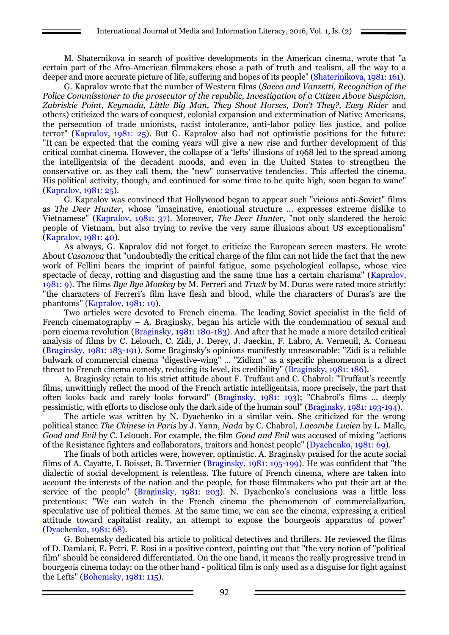M. Shaternikova in search of positive developments in the American cinema, wrote that "a certain part of the Afro-American filmmakers chose a path of truth and realism, all the way to a deeper and more accurate picture of life, suffering and hopes of its people" (Shaterinikova, 1981: 161).

G. Kapralov wrote that the number of Western films (*Sacco and Vanzetti, Recognition of the Police Commissioner to the prosecutor of the republic, Investigation of a Citizen Above Suspicion, Zabriskie Point, Keymada, Little Big Man, They Shoot Horses, Don't They?, Easy Rider* and others) criticized the wars of conquest, colonial expansion and extermination of Native Americans, the persecution of trade unionists, racist intolerance, anti-labor policy lies justice, and police terror" (Kapralov, 1981: 25). But G. Kapralov also had not optimistic positions for the future: "It can be expected that the coming years will give a new rise and further development of this critical combat cinema. However, the collapse of a 'lefts' illusions of 1968 led to the spread among the intelligentsia of the decadent moods, and even in the United States to strengthen the conservative or, as they call them, the "new" conservative tendencies. This affected the cinema. His political activity, though, and continued for some time to be quite high, soon began to wane" (Kapralov, 1981: 25).

G. Kapralov was convinced that Hollywood began to appear such "vicious anti-Soviet" films as *The Deer Hunter*, whose "imaginative, emotional structure ... expresses extreme dislike to Vietnamese" (Kapralov, 1981: 37). Moreover, *The Deer Hunter,* "not only slandered the heroic people of Vietnam, but also trying to revive the very same illusions about US exceptionalism" (Kapralov, 1981: 40).

As always, G. Kapralov did not forget to criticize the European screen masters. He wrote About *Casanova* that "undoubtedly the critical charge of the film can not hide the fact that the new work of Fellini bears the imprint of painful fatigue, some psychological collapse, whose vice spectacle of decay, rotting and disgusting and the same time has a certain charisma" (Kapralov, 1981: 9). The films *Bye Bye Monkey* by M. Ferreri and *Truck* by M. Duras were rated more strictly: "the characters of Ferreri's film have flesh and blood, while the characters of Duras's are the phantoms" (Kapralov, 1981: 19).

Two articles were devoted to French cinema. The leading Soviet specialist in the field of French cinematography – A. Braginsky, began his article with the condemnation of sexual and porn cinema revolution (Braginsky, 1981: 180-183). And after that he made a more detailed critical analysis of films by C. Lelouch, C. Zidi, J. Derey, J. Jaeckin, F. Labro, A. Verneuil, A. Corneau (Braginsky, 1981: 183-191). Some Braginsky's opinions manifestly unreasonable: "Zidi is a reliable bulwark of commercial cinema "digestive-wing" ... "Zidizm" as a specific phenomenon is a direct threat to French cinema comedy, reducing its level, its credibility" (Braginsky, 1981: 186).

A. Braginsky retain to his strict attitude about F. Truffaut and C. Chabrol: "Truffaut's recently films, unwittingly reflect the mood of the French artistic intelligentsia, more precisely, the part that often looks back and rarely looks forward" (Braginsky, 1981: 193); "Chabrol's films ... deeply pessimistic, with efforts to disclose only the dark side of the human soul" (Braginsky, 1981: 193-194).

The article was written by N. Dyachenko in a similar vein. She criticized for the wrong political stance *The Chinese in Paris* by J. Yann, *Nada* by C. Chabrol, *Lacombe Lucien* by L. Malle, *Good and Evil* by C. Lelouch. For example, the film *Good and Evil* was accused of mixing "actions of the Resistance fighters and collaborators, traitors and honest people" (Dyachenko, 1981: 69).

The finals of both articles were, however, optimistic. A. Braginsky praised for the acute social films of A. Cayatte, I. Boisset, B. Tavernier (Braginsky, 1981: 195-199). He was confident that "the dialectic of social development is relentless. The future of French cinema, where are taken into account the interests of the nation and the people, for those filmmakers who put their art at the service of the people" (Braginsky, 1981: 203). N. Dyachenko's conclusions was a little less pretentious: "We can watch in the French cinema the phenomenon of commercialization, speculative use of political themes. At the same time, we can see the cinema, expressing a critical attitude toward capitalist reality, an attempt to expose the bourgeois apparatus of power" (Dyachenko, 1981: 68).

G. Bohemsky dedicated his article to political detectives and thrillers. He reviewed the films of D. Damiani, E. Petri, F. Rosi in a positive context, pointing out that "the very notion of "political film" should be considered differentiated. On the one hand, it means the really progressive trend in bourgeois cinema today; on the other hand - political film is only used as a disguise for fight against the Lefts" (Bohemsky, 1981: 115).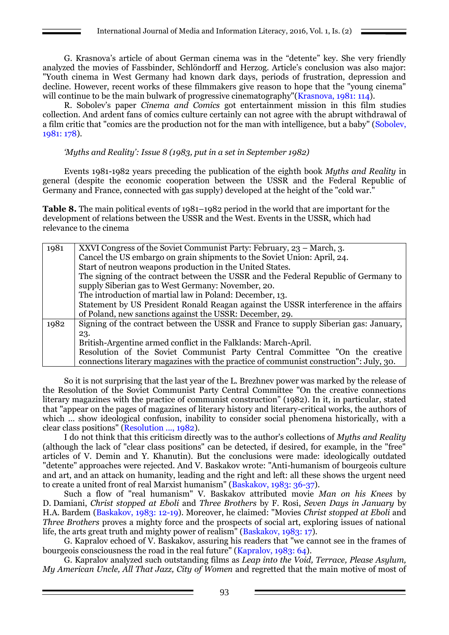G. Krasnova's article of about German cinema was in the "detente" key. She very friendly analyzed the movies of Fassbinder, Schlöndorff and Herzog. Article's conclusion was also major: "Youth cinema in West Germany had known dark days, periods of frustration, depression and decline. However, recent works of these filmmakers give reason to hope that the "young cinema" will continue to be the main bulwark of progressive cinematography"(Krasnova, 1981: 114).

R. Sobolev's paper *Cinema and Comics* got entertainment mission in this film studies collection. And ardent fans of comics culture certainly can not agree with the abrupt withdrawal of a film critic that "comics are the production not for the man with intelligence, but a baby" (Sobolev, 1981: 178).

*'Myths and Reality': Issue 8 (1983, put in a set in September 1982)*

Events 1981-1982 years preceding the publication of the eighth book *Myths and Reality* in general (despite the economic cooperation between the USSR and the Federal Republic of Germany and France, connected with gas supply) developed at the height of the "cold war."

**Table 8.** The main political events of 1981–1982 period in the world that are important for the development of relations between the USSR and the West. Events in the USSR, which had relevance to the cinema

| 1981 | XXVI Congress of the Soviet Communist Party: February, 23 – March, 3.                  |  |  |  |
|------|----------------------------------------------------------------------------------------|--|--|--|
|      | Cancel the US embargo on grain shipments to the Soviet Union: April, 24.               |  |  |  |
|      | Start of neutron weapons production in the United States.                              |  |  |  |
|      | The signing of the contract between the USSR and the Federal Republic of Germany to    |  |  |  |
|      | supply Siberian gas to West Germany: November, 20.                                     |  |  |  |
|      | The introduction of martial law in Poland: December, 13.                               |  |  |  |
|      | Statement by US President Ronald Reagan against the USSR interference in the affairs   |  |  |  |
|      | of Poland, new sanctions against the USSR: December, 29.                               |  |  |  |
| 1982 | Signing of the contract between the USSR and France to supply Siberian gas: January,   |  |  |  |
|      | 23.                                                                                    |  |  |  |
|      | British-Argentine armed conflict in the Falklands: March-April.                        |  |  |  |
|      | Resolution of the Soviet Communist Party Central Committee "On the creative            |  |  |  |
|      | connections literary magazines with the practice of communist construction": July, 30. |  |  |  |

So it is not surprising that the last year of the L. Brezhnev power was marked by the release of the Resolution of the Soviet Communist Party Central Committee "On the creative connections literary magazines with the practice of communist construction" (1982). In it, in particular, stated that "appear on the pages of magazines of literary history and literary-critical works, the authors of which ... show ideological confusion, inability to consider social phenomena historically, with a clear class positions" (Resolution ..., 1982).

I do not think that this criticism directly was to the author's collections of *Myths and Reality* (although the lack of "clear class positions" can be detected, if desired, for example, in the "free" articles of V. Demin and Y. Khanutin). But the conclusions were made: ideologically outdated "detente" approaches were rejected. And V. Baskakov wrote: "Anti-humanism of bourgeois culture and art, and an attack on humanity, leading and the right and left: all these shows the urgent need to create a united front of real Marxist humanism" (Baskakov, 1983: 36-37).

Such a flow of "real humanism" V. Baskakov attributed movie *Man on his Knees* by D. Damiani, *Christ stopped at Eboli* and *Three Brothers* by F. Rosi, *Seven Days in January* by H.A. Bardem (Baskakov, 1983: 12-19). Moreover, he claimed: "Movies *Christ stopped at Eboli* and *Three Brothers* proves a mighty force and the prospects of social art, exploring issues of national life, the arts great truth and mighty power of realism" (Baskakov, 1983: 17).

G. Kapralov echoed of V. Baskakov, assuring his readers that "we cannot see in the frames of bourgeois consciousness the road in the real future" (Kapralov, 1983: 64).

G. Kapralov analyzed such outstanding films as *Leap into the Void, Terrace, Please Asylum, My American Uncle, All That Jazz, City of Women* and regretted that the main motive of most of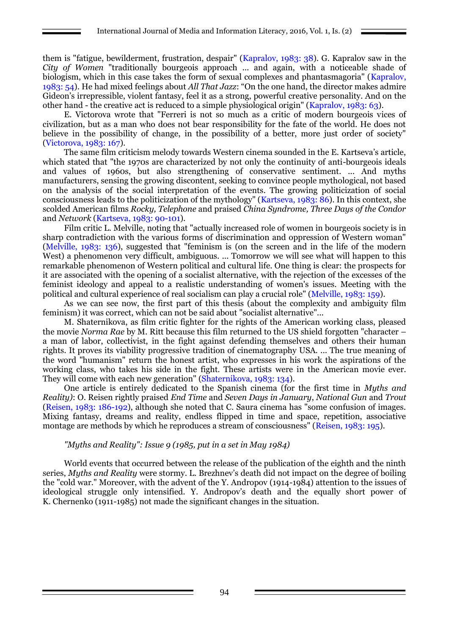them is "fatigue, bewilderment, frustration, despair" (Kapralov, 1983: 38). G. Kapralov saw in the *City of Women* "traditionally bourgeois approach ... and again, with a noticeable shade of biologism, which in this case takes the form of sexual complexes and phantasmagoria" (Kapralov, 1983: 54). He had mixed feelings about *All That Jazz*: "On the one hand, the director makes admire Gideon's irrepressible, violent fantasy, feel it as a strong, powerful creative personality. And on the other hand - the creative act is reduced to a simple physiological origin" (Kapralov, 1983: 63).

E. Victorova wrote that "Ferreri is not so much as a critic of modern bourgeois vices of civilization, but as a man who does not bear responsibility for the fate of the world. He does not believe in the possibility of change, in the possibility of a better, more just order of society" (Victorova, 1983: 167).

The same film criticism melody towards Western cinema sounded in the E. Kartseva's article, which stated that "the 1970s are characterized by not only the continuity of anti-bourgeois ideals and values of 1960s, but also strengthening of conservative sentiment. ... And myths manufacturers, sensing the growing discontent, seeking to convince people mythological, not based on the analysis of the social interpretation of the events. The growing politicization of social consciousness leads to the politicization of the mythology" (Kartseva, 1983: 86). In this context, she scolded American films *Rocky, Telephone* and praised *China Syndrome, Three Days of the Condor* and *Network* (Kartseva, 1983: 90-101).

Film critic L. Melville, noting that "actually increased role of women in bourgeois society is in sharp contradiction with the various forms of discrimination and oppression of Western woman" (Melville, 1983: 136), suggested that "feminism is (on the screen and in the life of the modern West) a phenomenon very difficult, ambiguous. ... Tomorrow we will see what will happen to this remarkable phenomenon of Western political and cultural life. One thing is clear: the prospects for it are associated with the opening of a socialist alternative, with the rejection of the excesses of the feminist ideology and appeal to a realistic understanding of women's issues. Meeting with the political and cultural experience of real socialism can play a crucial role" (Melville, 1983: 159).

As we can see now, the first part of this thesis (about the complexity and ambiguity film feminism) it was correct, which can not be said about "socialist alternative"...

M. Shaternikova, as film critic fighter for the rights of the American working class, pleased the movie *Norma Rae* by M. Ritt because this film returned to the US shield forgotten "character – a man of labor, collectivist, in the fight against defending themselves and others their human rights. It proves its viability progressive tradition of cinematography USA. ... The true meaning of the word "humanism" return the honest artist, who expresses in his work the aspirations of the working class, who takes his side in the fight. These artists were in the American movie ever. They will come with each new generation" (Shaternikova, 1983: 134).

One article is entirely dedicated to the Spanish cinema (for the first time in *Myths and Reality)*: O. Reisen rightly praised *End Time* and *Seven Days in January*, *National Gun* and *Trout* (Reisen, 1983: 186-192), although she noted that C. Saura cinema has "some confusion of images. Mixing fantasy, dreams and reality, endless flipped in time and space, repetition, associative montage are methods by which he reproduces a stream of consciousness" (Reisen, 1983: 195).

#### *"Myths and Reality": Issue 9 (1985, put in a set in May 1984)*

World events that occurred between the release of the publication of the eighth and the ninth series, *Myths and Reality* were stormy. L. Brezhnev's death did not impact on the degree of boiling the "cold war." Moreover, with the advent of the Y. Andropov (1914-1984) attention to the issues of ideological struggle only intensified. Y. Andropov's death and the equally short power of K. Chernenko (1911-1985) not made the significant changes in the situation.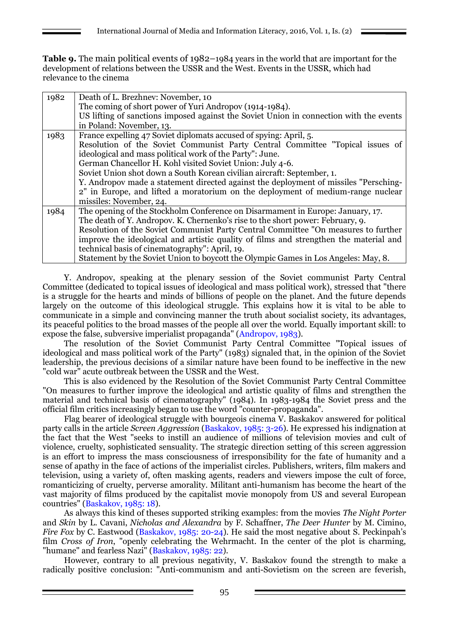**Table 9.** The main political events of 1982–1984 years in the world that are important for the development of relations between the USSR and the West. Events in the USSR, which had relevance to the cinema

| 1982 | Death of L. Brezhnev: November, 10                                                     |  |  |  |
|------|----------------------------------------------------------------------------------------|--|--|--|
|      | The coming of short power of Yuri Andropov (1914-1984).                                |  |  |  |
|      | US lifting of sanctions imposed against the Soviet Union in connection with the events |  |  |  |
|      | in Poland: November, 13.                                                               |  |  |  |
| 1983 | France expelling 47 Soviet diplomats accused of spying: April, 5.                      |  |  |  |
|      | Resolution of the Soviet Communist Party Central Committee "Topical issues of          |  |  |  |
|      | ideological and mass political work of the Party": June.                               |  |  |  |
|      | German Chancellor H. Kohl visited Soviet Union: July 4-6.                              |  |  |  |
|      | Soviet Union shot down a South Korean civilian aircraft: September, 1.                 |  |  |  |
|      | Y. Andropov made a statement directed against the deployment of missiles "Persching-   |  |  |  |
|      | 2" in Europe, and lifted a moratorium on the deployment of medium-range nuclear        |  |  |  |
|      | missiles: November, 24.                                                                |  |  |  |
| 1984 | The opening of the Stockholm Conference on Disarmament in Europe: January, 17.         |  |  |  |
|      | The death of Y. Andropov. K. Chernenko's rise to the short power: February, 9.         |  |  |  |
|      | Resolution of the Soviet Communist Party Central Committee "On measures to further     |  |  |  |
|      | improve the ideological and artistic quality of films and strengthen the material and  |  |  |  |
|      | technical basis of cinematography": April, 19.                                         |  |  |  |
|      | Statement by the Soviet Union to boycott the Olympic Games in Los Angeles: May, 8.     |  |  |  |

Y. Andropov, speaking at the plenary session of the Soviet communist Party Central Committee (dedicated to topical issues of ideological and mass political work), stressed that "there is a struggle for the hearts and minds of billions of people on the planet. And the future depends largely on the outcome of this ideological struggle. This explains how it is vital to be able to communicate in a simple and convincing manner the truth about socialist society, its advantages, its peaceful politics to the broad masses of the people all over the world. Equally important skill: to expose the false, subversive imperialist propaganda" (Andropov, 1983).

The resolution of the Soviet Communist Party Central Committee "Topical issues of ideological and mass political work of the Party" (1983) signaled that, in the opinion of the Soviet leadership, the previous decisions of a similar nature have been found to be ineffective in the new "cold war" acute outbreak between the USSR and the West.

This is also evidenced by the Resolution of the Soviet Communist Party Central Committee "On measures to further improve the ideological and artistic quality of films and strengthen the material and technical basis of cinematography" (1984). In 1983-1984 the Soviet press and the official film critics increasingly began to use the word "counter-propaganda".

Flag bearer of ideological struggle with bourgeois cinema V. Baskakov answered for political party calls in the article *Screen Aggression* (Baskakov, 1985: 3-26). He expressed his indignation at the fact that the West "seeks to instill an audience of millions of television movies and cult of violence, cruelty, sophisticated sensuality. The strategic direction setting of this screen aggression is an effort to impress the mass consciousness of irresponsibility for the fate of humanity and a sense of apathy in the face of actions of the imperialist circles. Publishers, writers, film makers and television, using a variety of, often masking agents, readers and viewers impose the cult of force, romanticizing of cruelty, perverse amorality. Militant anti-humanism has become the heart of the vast majority of films produced by the capitalist movie monopoly from US and several European countries" (Baskakov, 1985: 18).

As always this kind of theses supported striking examples: from the movies *The Night Porter* and *Skin* by L. Cavani, *Nicholas and Alexandra* by F. Schaffner, *The Deer Hunter* by M. Cimino, *Fire Fox* by C. Eastwood (Baskakov, 1985: 20-24). He said the most negative about S. Peckinpah's film *Cross of Iron*, "openly celebrating the Wehrmacht. In the center of the plot is charming, "humane" and fearless Nazi" (Baskakov, 1985: 22).

However, contrary to all previous negativity, V. Baskakov found the strength to make a radically positive conclusion: "Anti-communism and anti-Sovietism on the screen are feverish,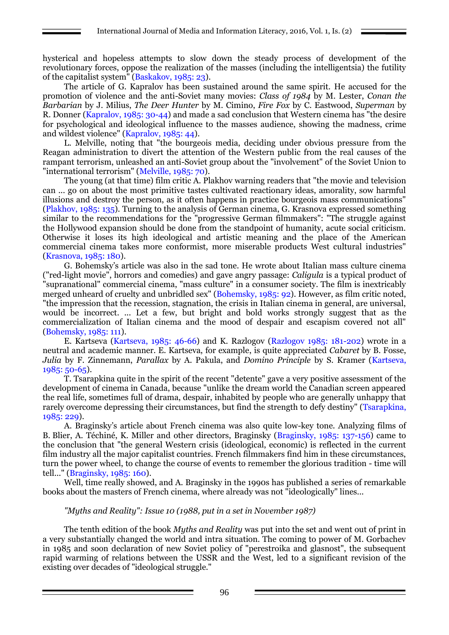hysterical and hopeless attempts to slow down the steady process of development of the revolutionary forces, oppose the realization of the masses (including the intelligentsia) the futility of the capitalist system" (Baskakov, 1985: 23).

The article of G. Kapralov has been sustained around the same spirit. He accused for the promotion of violence and the anti-Soviet many movies: *Class of 1984* by M. Lester, *Conan the Barbarian* by J. Milius, *The Deer Hunter* by M. Cimino, *Fire Fox* by C. Eastwood, *Superman* by R. Donner (Kapralov, 1985: 30-44) and made a sad conclusion that Western cinema has "the desire for psychological and ideological influence to the masses audience, showing the madness, crime and wildest violence" (Kapralov, 1985: 44).

L. Melville, noting that "the bourgeois media, deciding under obvious pressure from the Reagan administration to divert the attention of the Western public from the real causes of the rampant terrorism, unleashed an anti-Soviet group about the "involvement" of the Soviet Union to "international terrorism" (Melville, 1985: 70).

The young (at that time) film critic A. Plakhov warning readers that "the movie and television can ... go on about the most primitive tastes cultivated reactionary ideas, amorality, sow harmful illusions and destroy the person, as it often happens in practice bourgeois mass communications" (Plakhov, 1985: 135). Turning to the analysis of German cinema, G. Krasnova expressed something similar to the recommendations for the "progressive German filmmakers": "The struggle against the Hollywood expansion should be done from the standpoint of humanity, acute social criticism. Otherwise it loses its high ideological and artistic meaning and the place of the American commercial cinema takes more conformist, more miserable products West cultural industries" (Krasnova, 1985: 180).

G. Bohemsky's article was also in the sad tone. He wrote about Italian mass culture cinema ("red-light movie", horrors and comedies) and gave angry passage: *Caligula* is a typical product of "supranational" commercial cinema, "mass culture" in a consumer society. The film is inextricably merged unheard of cruelty and unbridled sex" (Bohemsky, 1985: 92). However, as film critic noted, "the impression that the recession, stagnation, the crisis in Italian cinema in general, are universal, would be incorrect. ... Let a few, but bright and bold works strongly suggest that as the commercialization of Italian cinema and the mood of despair and escapism covered not all" (Bohemsky, 1985: 111).

E. Kartseva (Kartseva, 1985: 46-66) and K. Razlogov (Razlogov 1985: 181-202) wrote in a neutral and academic manner. E. Kartseva, for example, is quite appreciated *Cabaret* by B. Fosse, *Julia* by F. Zinnemann, *Parallax* by A. Pakula, and *Domino Principle* by S. Kramer (Kartseva, 1985: 50-65).

T. Tsarapkina quite in the spirit of the recent "detente" gave a very positive assessment of the development of cinema in Canada, because "unlike the dream world the Canadian screen appeared the real life, sometimes full of drama, despair, inhabited by people who are generally unhappy that rarely overcome depressing their circumstances, but find the strength to defy destiny" (Tsarapkina, 1985: 229).

A. Braginsky's article about French cinema was also quite low-key tone. Analyzing films of B. Blier, A. Téchiné, K. Miller and other directors, Braginsky (Braginsky, 1985: 137-156) came to the conclusion that "the general Western crisis (ideological, economic) is reflected in the current film industry all the major capitalist countries. French filmmakers find him in these circumstances, turn the power wheel, to change the course of events to remember the glorious tradition - time will tell..." (Braginsky, 1985: 160).

Well, time really showed, and A. Braginsky in the 1990s has published a series of remarkable books about the masters of French cinema, where already was not "ideologically" lines...

# *"Myths and Reality": Issue 10 (1988, put in a set in November 1987)*

The tenth edition of the book *Myths and Reality* was put into the set and went out of print in a very substantially changed the world and intra situation. The coming to power of M. Gorbachev in 1985 and soon declaration of new Soviet policy of "perestroika and glasnost", the subsequent rapid warming of relations between the USSR and the West, led to a significant revision of the existing over decades of "ideological struggle."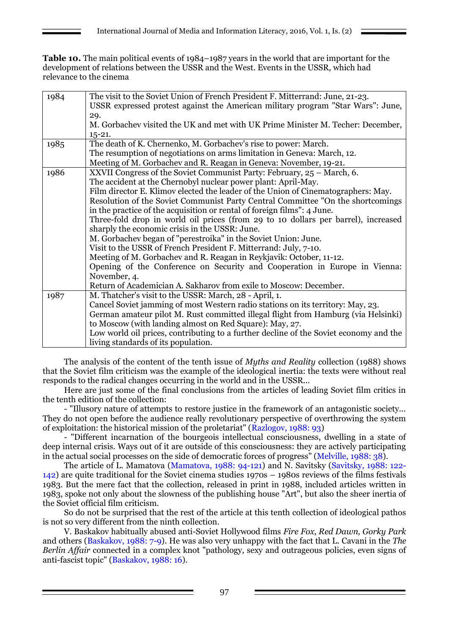**Table 10.** The main political events of 1984–1987 years in the world that are important for the development of relations between the USSR and the West. Events in the USSR, which had relevance to the cinema

| 1984 | The visit to the Soviet Union of French President F. Mitterrand: June, 21-23.         |  |  |  |  |
|------|---------------------------------------------------------------------------------------|--|--|--|--|
|      | USSR expressed protest against the American military program "Star Wars": June,       |  |  |  |  |
|      | 29.                                                                                   |  |  |  |  |
|      | M. Gorbachev visited the UK and met with UK Prime Minister M. Techer: December,       |  |  |  |  |
|      | $15 - 21.$                                                                            |  |  |  |  |
| 1985 | The death of K. Chernenko, M. Gorbachev's rise to power: March.                       |  |  |  |  |
|      | The resumption of negotiations on arms limitation in Geneva: March, 12.               |  |  |  |  |
|      | Meeting of M. Gorbachev and R. Reagan in Geneva: November, 19-21.                     |  |  |  |  |
| 1986 | XXVII Congress of the Soviet Communist Party: February, 25 – March, 6.                |  |  |  |  |
|      | The accident at the Chernobyl nuclear power plant: April-May.                         |  |  |  |  |
|      | Film director E. Klimov elected the leader of the Union of Cinematographers: May.     |  |  |  |  |
|      | Resolution of the Soviet Communist Party Central Committee "On the shortcomings       |  |  |  |  |
|      | in the practice of the acquisition or rental of foreign films": 4 June.               |  |  |  |  |
|      | Three-fold drop in world oil prices (from 29 to 10 dollars per barrel), increased     |  |  |  |  |
|      | sharply the economic crisis in the USSR: June.                                        |  |  |  |  |
|      | M. Gorbachev began of "perestroika" in the Soviet Union: June.                        |  |  |  |  |
|      | Visit to the USSR of French President F. Mitterrand: July, 7-10.                      |  |  |  |  |
|      | Meeting of M. Gorbachev and R. Reagan in Reykjavik: October, 11-12.                   |  |  |  |  |
|      | Opening of the Conference on Security and Cooperation in Europe in Vienna:            |  |  |  |  |
|      | November, 4.                                                                          |  |  |  |  |
|      | Return of Academician A. Sakharov from exile to Moscow: December.                     |  |  |  |  |
| 1987 | M. Thatcher's visit to the USSR: March, 28 - April, 1.                                |  |  |  |  |
|      | Cancel Soviet jamming of most Western radio stations on its territory: May, 23.       |  |  |  |  |
|      | German amateur pilot M. Rust committed illegal flight from Hamburg (via Helsinki)     |  |  |  |  |
|      | to Moscow (with landing almost on Red Square): May, 27.                               |  |  |  |  |
|      | Low world oil prices, contributing to a further decline of the Soviet economy and the |  |  |  |  |
|      | living standards of its population.                                                   |  |  |  |  |

The analysis of the content of the tenth issue of *Myths and Reality* collection (1988) shows that the Soviet film criticism was the example of the ideological inertia: the texts were without real responds to the radical changes occurring in the world and in the USSR...

Here are just some of the final conclusions from the articles of leading Soviet film critics in the tenth edition of the collection:

- "Illusory nature of attempts to restore justice in the framework of an antagonistic society... They do not open before the audience really revolutionary perspective of overthrowing the system of exploitation: the historical mission of the proletariat" (Razlogov, 1988: 93)

- "Different incarnation of the bourgeois intellectual consciousness, dwelling in a state of deep internal crisis. Ways out of it are outside of this consciousness: they are actively participating in the actual social processes on the side of democratic forces of progress" (Melville, 1988: 38).

The article of L. Mamatova (Mamatova, 1988: 94-121) and N. Savitsky (Savitsky, 1988: 122- 142) are quite traditional for the Soviet cinema studies 1970s – 1980s reviews of the films festivals 1983. But the mere fact that the collection, released in print in 1988, included articles written in 1983, spoke not only about the slowness of the publishing house "Art", but also the sheer inertia of the Soviet official film criticism.

So do not be surprised that the rest of the article at this tenth collection of ideological pathos is not so very different from the ninth collection.

V. Baskakov habitually abused anti-Soviet Hollywood films *Fire Fox*, *Red Dawn, Gorky Park*  and others (Baskakov, 1988: 7-9). He was also very unhappy with the fact that L. Cavani in the *The Berlin Affair* connected in a complex knot "pathology, sexy and outrageous policies, even signs of anti-fascist topic" (Baskakov, 1988: 16).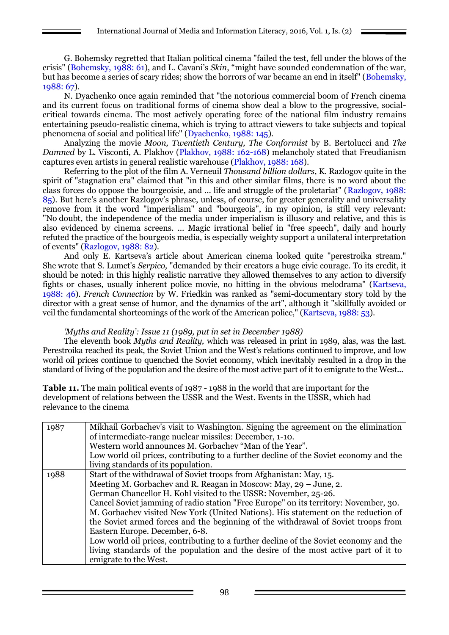G. Bohemsky regretted that Italian political cinema "failed the test, fell under the blows of the crisis" (Bohemsky, 1988: 61), and L. Cavani's *Skin*, "might have sounded condemnation of the war, but has become a series of scary rides; show the horrors of war became an end in itself" (Bohemsky, 1988: 67).

N. Dyachenko once again reminded that "the notorious commercial boom of French cinema and its current focus on traditional forms of cinema show deal a blow to the progressive, socialcritical towards cinema. The most actively operating force of the national film industry remains entertaining pseudo-realistic cinema, which is trying to attract viewers to take subjects and topical phenomena of social and political life" (Dyachenko, 1988: 145).

Analyzing the movie *Moon, Twentieth Century, The Conformist* by B. Bertolucci and *The Damned* by L. Visconti, A. Plakhov (Plakhov, 1988: 162-168) melancholy stated that Freudianism captures even artists in general realistic warehouse (Plakhov, 1988: 168).

Referring to the plot of the film A. Verneuil *Thousand billion dollars*, K. Razlogov quite in the spirit of "stagnation era" claimed that "in this and other similar films, there is no word about the class forces do oppose the bourgeoisie, and ... life and struggle of the proletariat" (Razlogov, 1988: 85). But here's another Razlogov's phrase, unless, of course, for greater generality and universality remove from it the word "imperialism" and "bourgeois", in my opinion, is still very relevant: "No doubt, the independence of the media under imperialism is illusory and relative, and this is also evidenced by cinema screens. ... Magic irrational belief in "free speech", daily and hourly refuted the practice of the bourgeois media, is especially weighty support a unilateral interpretation of events" (Razlogov, 1988: 82).

And only E. Kartseva's article about American cinema looked quite "perestroika stream." She wrote that S. Lumet's *Serpico,* "demanded by their creators a huge civic courage. To its credit, it should be noted: in this highly realistic narrative they allowed themselves to any action to diversify fights or chases, usually inherent police movie, no hitting in the obvious melodrama" (Kartseva, 1988: 46). *French Connection* by W. Friedkin was ranked as "semi-documentary story told by the director with a great sense of humor, and the dynamics of the art", although it "skillfully avoided or veil the fundamental shortcomings of the work of the American police," (Kartseva, 1988: 53).

# *'Myths and Reality': Issue 11 (1989, put in set in December 1988)*

The eleventh book *Myths and Reality,* which was released in print in 1989, alas, was the last. Perestroika reached its peak, the Soviet Union and the West's relations continued to improve, and low world oil prices continue to quenched the Soviet economy, which inevitably resulted in a drop in the standard of living of the population and the desire of the most active part of it to emigrate to the West...

**Table 11.** The main political events of 1987 - 1988 in the world that are important for the development of relations between the USSR and the West. Events in the USSR, which had relevance to the cinema

| 1987 | Mikhail Gorbachev's visit to Washington. Signing the agreement on the elimination<br>of intermediate-range nuclear missiles: December, 1-10.<br>Western world announces M. Gorbachev "Man of the Year".<br>Low world oil prices, contributing to a further decline of the Soviet economy and the<br>living standards of its population.                                                                                                                                                                                                                                                                                                                                                                                |
|------|------------------------------------------------------------------------------------------------------------------------------------------------------------------------------------------------------------------------------------------------------------------------------------------------------------------------------------------------------------------------------------------------------------------------------------------------------------------------------------------------------------------------------------------------------------------------------------------------------------------------------------------------------------------------------------------------------------------------|
| 1988 | Start of the withdrawal of Soviet troops from Afghanistan: May, 15.<br>Meeting M. Gorbachev and R. Reagan in Moscow: May, 29 – June, 2.<br>German Chancellor H. Kohl visited to the USSR: November, 25-26.<br>Cancel Soviet jamming of radio station "Free Europe" on its territory: November, 30.<br>M. Gorbachev visited New York (United Nations). His statement on the reduction of<br>the Soviet armed forces and the beginning of the withdrawal of Soviet troops from<br>Eastern Europe. December, 6-8.<br>Low world oil prices, contributing to a further decline of the Soviet economy and the<br>living standards of the population and the desire of the most active part of it to<br>emigrate to the West. |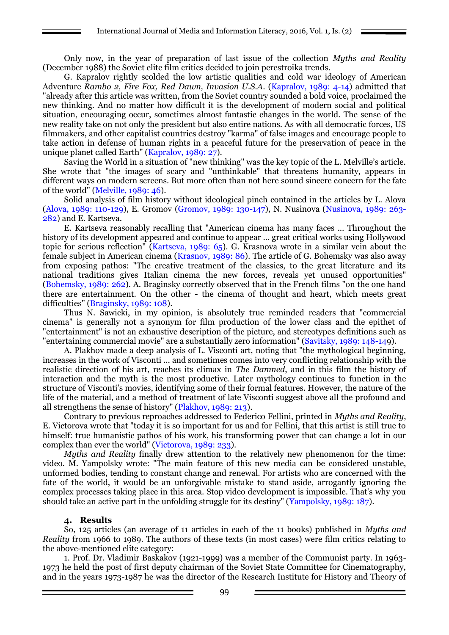Only now, in the year of preparation of last issue of the collection *Myths and Reality* (December 1988) the Soviet elite film critics decided to join perestroika trends.

G. Kapralov rightly scolded the low artistic qualities and cold war ideology of American Adventure *Rambo 2, Fire Fox, Red Dawn, Invasion U.S.A*. (Kapralov, 1989: 4-14) admitted that "already after this article was written, from the Soviet country sounded a bold voice, proclaimed the new thinking. And no matter how difficult it is the development of modern social and political situation, encouraging occur, sometimes almost fantastic changes in the world. The sense of the new reality take on not only the president but also entire nations. As with all democratic forces, US filmmakers, and other capitalist countries destroy "karma" of false images and encourage people to take action in defense of human rights in a peaceful future for the preservation of peace in the unique planet called Earth" (Kapralov, 1989: 27).

Saving the World in a situation of "new thinking" was the key topic of the L. Melville's article. She wrote that "the images of scary and "unthinkable" that threatens humanity, appears in different ways on modern screens. But more often than not here sound sincere concern for the fate of the world" (Melville, 1989: 46).

Solid analysis of film history without ideological pinch contained in the articles by L. Alova (Alova, 1989: 110-129), E. Gromov (Gromov, 1989: 130-147), N. Nusinova (Nusinova, 1989: 263- 282) and E. Kartseva.

E. Kartseva reasonably recalling that "American cinema has many faces ... Throughout the history of its development appeared and continue to appear ... great critical works using Hollywood topic for serious reflection" (Kartseva, 1989: 65). G. Krasnova wrote in a similar vein about the female subject in American cinema (Krasnov, 1989: 86). The article of G. Bohemsky was also away from exposing pathos: "The creative treatment of the classics, to the great literature and its national traditions gives Italian cinema the new forces, reveals yet unused opportunities" (Bohemsky, 1989: 262). A. Braginsky correctly observed that in the French films "on the one hand there are entertainment. On the other - the cinema of thought and heart, which meets great difficulties" (Braginsky, 1989: 108).

Thus N. Sawicki, in my opinion, is absolutely true reminded readers that "commercial cinema" is generally not a synonym for film production of the lower class and the epithet of "entertainment" is not an exhaustive description of the picture, and stereotypes definitions such as "entertaining commercial movie" are a substantially zero information" (Savitsky, 1989: 148-149).

A. Plakhov made a deep analysis of L. Visconti art, noting that "the mythological beginning, increases in the work of Visconti ... and sometimes comes into very conflicting relationship with the realistic direction of his art, reaches its climax in *The Damned*, and in this film the history of interaction and the myth is the most productive. Later mythology continues to function in the structure of Visconti's movies, identifying some of their formal features. However, the nature of the life of the material, and a method of treatment of late Visconti suggest above all the profound and all strengthens the sense of history" (Plakhov, 1989: 213).

Contrary to previous reproaches addressed to Federico Fellini, printed in *Myths and Reality*, E. Victorova wrote that "today it is so important for us and for Fellini, that this artist is still true to himself: true humanistic pathos of his work, his transforming power that can change a lot in our complex than ever the world" (Victorova, 1989: 233).

*Myths and Reality* finally drew attention to the relatively new phenomenon for the time: video. M. Yampolsky wrote: "The main feature of this new media can be considered unstable, unformed bodies, tending to constant change and renewal. For artists who are concerned with the fate of the world, it would be an unforgivable mistake to stand aside, arrogantly ignoring the complex processes taking place in this area. Stop video development is impossible. That's why you should take an active part in the unfolding struggle for its destiny" (Yampolsky, 1989: 187).

#### **4. Results**

So, 125 articles (an average of 11 articles in each of the 11 books) published in *Myths and Reality* from 1966 to 1989. The authors of these texts (in most cases) were film critics relating to the above-mentioned elite category:

1. Prof. Dr. Vladimir Baskakov (1921-1999) was a member of the Communist party. In 1963- 1973 he held the post of first deputy chairman of the Soviet State Committee for Cinematography, and in the years 1973-1987 he was the director of the Research Institute for History and Theory of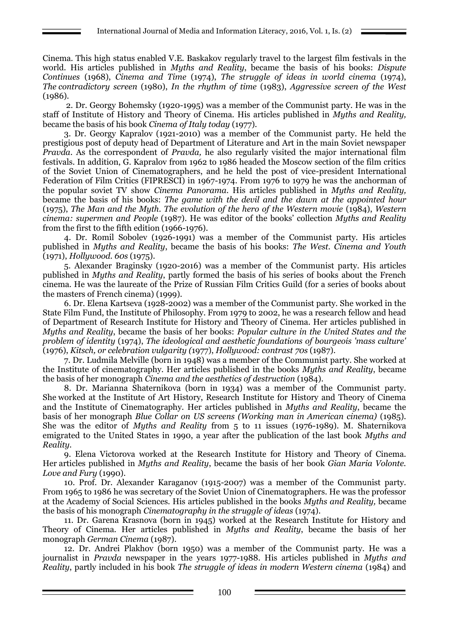Cinema. This high status enabled V.E. Baskakov regularly travel to the largest film festivals in the world. His articles published in *Myths and Reality*, became the basis of his books: *Dispute Continues* (1968), *Cinema and Time* (1974), *The struggle of ideas in world cinema* (1974), *The contradictory screen* (1980), *In the rhythm of time* (1983), *Aggressive screen of the West* (1986).

2. Dr. Georgy Bohemsky (1920-1995) was a member of the Communist party. He was in the staff of Institute of History and Theory of Cinema. His articles published in *Myths and Reality,* became the basis of his book *Cinema of Italy today* (1977).

3. Dr. Georgy Kapralov (1921-2010) was a member of the Communist party. He held the prestigious post of deputy head of Department of Literature and Art in the main Soviet newspaper *Pravda*. As the correspondent of *Pravda,* he also regularly visited the major international film festivals. In addition, G. Kapralov from 1962 to 1986 headed the Moscow section of the film critics of the Soviet Union of Cinematographers, and he held the post of vice-president International Federation of Film Critics (FIPRESCI) in 1967-1974. From 1976 to 1979 he was the anchorman of the popular soviet TV show *Cinema Panorama*. His articles published in *Myths and Reality,* became the basis of his books: *The game with the devil and the dawn at the appointed hour* (1975), *The Man and the Myth. The evolution of the hero of the Western movie* (1984), *Western cinema: supermen and People* (1987). He was editor of the books' collection *Myths and Reality*  from the first to the fifth edition (1966-1976).

4. Dr. Romil Sobolev (1926-1991) was a member of the Communist party. His articles published in *Myths and Reality*, became the basis of his books: *The West. Cinema and Youth* (1971), *Hollywood. 60s* (1975).

5. Alexander Braginsky (1920-2016) was a member of the Communist party. His articles published in *Myths and Reality*, partly formed the basis of his series of books about the French cinema. He was the laureate of the Prize of Russian Film Critics Guild (for a series of books about the masters of French cinema) (1999).

6. Dr. Elena Kartseva (1928-2002) was a member of the Communist party. She worked in the State Film Fund, the Institute of Philosophy. From 1979 to 2002, he was a research fellow and head of Department of Research Institute for History and Theory of Cinema. Her articles published in *Myths and Reality*, became the basis of her books: *Popular culture in the United States and the problem of identity* (1974), *The ideological and aesthetic foundations of bourgeois 'mass culture'* (1976), *Kitsch, or celebration vulgarity (*1977), *Hollywood: contrast 70s* (1987).

7. Dr. Ludmila Melville (born in 1948) was a member of the Communist party. She worked at the Institute of cinematography. Her articles published in the books *Myths and Reality*, became the basis of her monograph *Cinema and the aesthetics of destruction* (1984).

8. Dr. Marianna Shaternikova (born in 1934) was a member of the Communist party. She worked at the Institute of Art History, Research Institute for History and Theory of Cinema and the Institute of Cinematography. Her articles published in *Myths and Reality*, became the basis of her monograph *Blue Collar on US screens (Working man in American cinema)* (1985). She was the editor of *Myths and Reality* from 5 to 11 issues (1976-1989). M. Shaternikova emigrated to the United States in 1990, a year after the publication of the last book *Myths and Reality.*

9. Elena Victorova worked at the Research Institute for History and Theory of Cinema. Her articles published in *Myths and Reality*, became the basis of her book *Gian Maria Volonte. Love and Fury* (1990).

10. Prof. Dr. Alexander Karaganov (1915-2007) was a member of the Communist party. From 1965 to 1986 he was secretary of the Soviet Union of Cinematographers. He was the professor at the Academy of Social Sciences. His articles published in the books *Myths and Reality,* became the basis of his monograph *Cinematography in the struggle of ideas* (1974).

11. Dr. Garena Krasnova (born in 1945) worked at the Research Institute for History and Theory of Cinema. Her articles published in *Myths and Reality*, became the basis of her monograph *German Cinema* (1987).

12. Dr. Andrei Plakhov (born 1950) was a member of the Communist party. He was a journalist in *Pravda* newspaper in the years 1977-1988. His articles published in *Myths and Reality*, partly included in his book *The struggle of ideas in modern Western cinema* (1984) and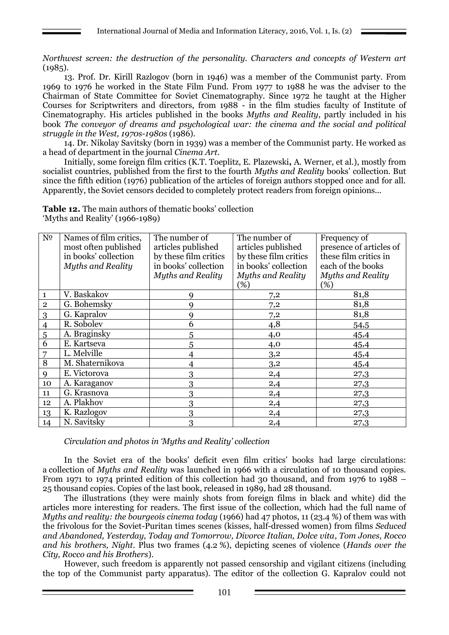*Northwest screen: the destruction of the personality. Characters and concepts of Western art*   $(1985)$ .

13. Prof. Dr. Kirill Razlogov (born in 1946) was a member of the Communist party. From 1969 to 1976 he worked in the State Film Fund. From 1977 to 1988 he was the adviser to the Chairman of State Committee for Soviet Cinematography. Since 1972 he taught at the Higher Courses for Scriptwriters and directors, from 1988 - in the film studies faculty of Institute of Cinematography. His articles published in the books *Myths and Reality*, partly included in his book *The conveyor of dreams and psychological war: the cinema and the social and political struggle in the West, 1970s-1980s* (1986).

14. Dr. Nikolay Savitsky (born in 1939) was a member of the Communist party. He worked as a head of department in the journal *Cinema Art*.

Initially, some foreign film critics (K.T. Toeplitz, E. Plazewski**,** A. Werner, et al.), mostly from socialist countries, published from the first to the fourth *Myths and Reality* books' collection. But since the fifth edition (1976) publication of the articles of foreign authors stopped once and for all. Apparently, the Soviet censors decided to completely protect readers from foreign opinions...

**Table 12.** The main authors of thematic books' collection 'Myths and Reality' (1966-1989)

| N <sub>0</sub> | Names of film critics,   | The number of            | The number of            | Frequency of             |
|----------------|--------------------------|--------------------------|--------------------------|--------------------------|
|                | most often published     | articles published       | articles published       | presence of articles of  |
|                | in books' collection     | by these film critics    | by these film critics    | these film critics in    |
|                | <b>Myths and Reality</b> | in books' collection     | in books' collection     | each of the books        |
|                |                          | <b>Myths and Reality</b> | <b>Myths and Reality</b> | <b>Myths and Reality</b> |
|                |                          |                          | (%)                      | (%)                      |
| $\mathbf{1}$   | V. Baskakov              | q                        | 7,2                      | 81,8                     |
| $\mathbf{2}$   | G. Bohemsky              | q                        | 7,2                      | 81,8                     |
| $\overline{3}$ | G. Kapralov              | Q                        | 7,2                      | 81,8                     |
| $\overline{4}$ | R. Sobolev               | 6                        | 4,8                      | 54,5                     |
| $\overline{5}$ | A. Braginsky             | 5                        | 4,0                      | 45,4                     |
| $\overline{6}$ | E. Kartseva              | 5                        | 4,0                      | 45,4                     |
| 7              | L. Melville              |                          | 3,2                      | 45,4                     |
| 8              | M. Shaternikova          | 4                        | 3,2                      | 45,4                     |
| 9              | E. Victorova             | 3                        | 2,4                      | 27,3                     |
| 10             | A. Karaganov             | 3                        | 2,4                      | 27,3                     |
| 11             | G. Krasnova              | 3                        | 2,4                      | 27,3                     |
| 12             | A. Plakhov               | 3                        | 2,4                      | 27,3                     |
| 13             | K. Razlogov              | 3                        | 2,4                      | 27,3                     |
| 14             | N. Savitsky              | 3                        | 2,4                      | 27,3                     |

*Circulation and photos in 'Myths and Reality' collection*

In the Soviet era of the books' deficit even film critics' books had large circulations: a collection of *Myths and Reality* was launched in 1966 with a circulation of 10 thousand copies. From 1971 to 1974 printed edition of this collection had 30 thousand, and from 1976 to 1988 – 25 thousand copies. Copies of the last book, released in 1989, had 28 thousand.

The illustrations (they were mainly shots from foreign films in black and white) did the articles more interesting for readers. The first issue of the collection, which had the full name of *Myths and reality: the bourgeois cinema today* (1966) had 47 photos, 11 (23.4 %) of them was with the frivolous for the Soviet-Puritan times scenes (kisses, half-dressed women) from films *Seduced and Abandoned, Yesterday, Today and Tomorrow, Divorce Italian, Dolce vita*, *Tom Jones*, *Rocco and his brothers, Night*. Plus two frames (4.2 %), depicting scenes of violence (*Hands over the City, Rocco and his Brothers*).

However, such freedom is apparently not passed censorship and vigilant citizens (including the top of the Communist party apparatus). The editor of the collection G. Kapralov could not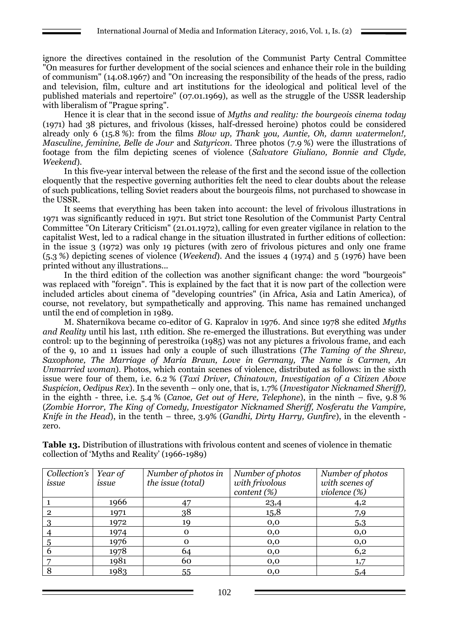ignore the directives contained in the resolution of the Communist Party Central Committee "On measures for further development of the social sciences and enhance their role in the building of communism" (14.08.1967) and "On increasing the responsibility of the heads of the press, radio and television, film, culture and art institutions for the ideological and political level of the published materials and repertoire" (07.01.1969), as well as the struggle of the USSR leadership with liberalism of "Prague spring".

Hence it is clear that in the second issue of *Myths and reality: the bourgeois cinema today* (1971) had 38 pictures, and frivolous (kisses, half-dressed heroine) photos could be considered already only 6 (15.8 %): from the films *Blow up, Thank you, Auntie, Oh, damn watermelon!, Masculine, feminine, Belle de Jour* and *Satyricon*. Three photos (7.9 %) were the illustrations of footage from the film depicting scenes of violence (*Salvatore Giuliano, Bonnie and Clyde, Weekend*).

In this five-year interval between the release of the first and the second issue of the collection eloquently that the respective governing authorities felt the need to clear doubts about the release of such publications, telling Soviet readers about the bourgeois films, not purchased to showcase in the USSR.

It seems that everything has been taken into account: the level of frivolous illustrations in 1971 was significantly reduced in 1971. But strict tone Resolution of the Communist Party Central Committee "On Literary Criticism" (21.01.1972), calling for even greater vigilance in relation to the capitalist West, led to a radical change in the situation illustrated in further editions of collection: in the issue 3 (1972) was only 19 pictures (with zero of frivolous pictures and only one frame (5.3 %) depicting scenes of violence (*Weekend*). And the issues 4 (1974) and 5 (1976) have been printed without any illustrations...

In the third edition of the collection was another significant change: the word "bourgeois" was replaced with "foreign". This is explained by the fact that it is now part of the collection were included articles about cinema of "developing countries" (in Africa, Asia and Latin America), of course, not revelatory, but sympathetically and approving. This name has remained unchanged until the end of completion in 1989.

M. Shaternikova became co-editor of G. Kapralov in 1976. And since 1978 she edited *Myths and Reality* until his last, 11th edition. She re-emerged the illustrations. But everything was under control: up to the beginning of perestroika (1985) was not any pictures a frivolous frame, and each of the 9, 10 and 11 issues had only a couple of such illustrations (*The Taming of the Shrew, Saxophone, The Marriage of Maria Braun, Love in Germany, The Name is Carmen, An Unmarried woman*). Photos, which contain scenes of violence, distributed as follows: in the sixth issue were four of them, i.e. 6.2 % (*Taxi Driver, Chinatown, Investigation of a Citizen Above Suspicion, Oedipus Rex*). In the seventh – only one, that is, 1.7% (*Investigator Nicknamed Sheriff),* in the eighth - three, i.e. 5.4 % (*Canoe, Get out of Here, Telephone*), in the ninth – five, 9.8 % (*Zombie Horror, The King of Comedy, Investigator Nicknamed Sheriff, Nosferatu the Vampire, Knife in the Head*), in the tenth – three, 3.9% (*Gandhi, Dirty Harry, Gunfire*), in the eleventh zero.

| Collection's<br>issue | Year of<br>issue | Number of photos in<br>the issue (total) | Number of photos<br>with frivolous<br>content (%) | Number of photos<br>with scenes of<br>violence $(\%)$ |
|-----------------------|------------------|------------------------------------------|---------------------------------------------------|-------------------------------------------------------|
|                       | 1966             |                                          | 23,4                                              | 4,2                                                   |
| $\overline{2}$        | 1971             | 38                                       | 15,8                                              | 7,9                                                   |
|                       | 1972             | 19                                       | 0,0                                               | 5,3                                                   |
|                       | 1974             | $\Omega$                                 | 0,0                                               | 0,0                                                   |
|                       | 1976             | $\Omega$                                 | 0,0                                               | 0,0                                                   |
|                       | 1978             | 64                                       | 0,0                                               | 6,2                                                   |
|                       | 1981             | 60                                       | 0,0                                               | 1,7                                                   |
| 8                     | 1983             | 55                                       | 0,0                                               | 5,4                                                   |

**Table 13.** Distribution of illustrations with frivolous content and scenes of violence in thematic collection of 'Myths and Reality' (1966-1989)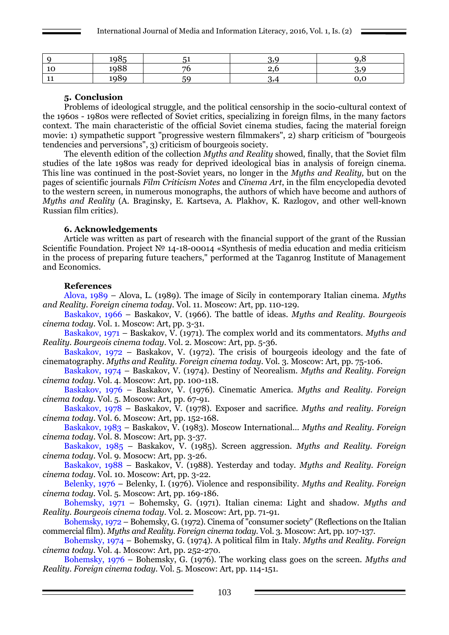|              | 198F                             | - - |          |  |
|--------------|----------------------------------|-----|----------|--|
| - 1 C        | 1988                             |     | <u>.</u> |  |
| $\mathbf{H}$ | 198c<br>$\overline{\phantom{a}}$ | гc  | o,⊣      |  |

#### **5. Conclusion**

Problems of ideological struggle, and the political censorship in the socio-cultural context of the 1960s - 1980s were reflected of Soviet critics, specializing in foreign films, in the many factors context. The main characteristic of the official Soviet cinema studies, facing the material foreign movie: 1) sympathetic support "progressive western filmmakers", 2) sharp criticism of "bourgeois tendencies and perversions", 3) criticism of bourgeois society.

The eleventh edition of the collection *Myths and Reality* showed, finally, that the Soviet film studies of the late 1980s was ready for deprived ideological bias in analysis of foreign cinema. This line was continued in the post-Soviet years, no longer in the *Myths and Reality,* but on the pages of scientific journals *Film Criticism Notes* and *Cinema Art*, in the film encyclopedia devoted to the western screen, in numerous monographs, the authors of which have become and authors of *Myths and Reality* (A. Braginsky, E. Kartseva, A. Plakhov, K. Razlogov, and other well-known Russian film critics).

#### **6. Acknowledgements**

Article was written as part of research with the financial support of the grant of the Russian Scientific Foundation. Project № 14-18-00014 «Synthesis of media education and media criticism in the process of preparing future teachers," performed at the Taganrog Institute of Management and Economics.

#### **References**

Alova, 1989 – Alova, L. (1989). The image of Sicily in contemporary Italian cinema. *Myths and Reality. Foreign cinema today*. Vol. 11. Moscow: Art, pp. 110-129.

Baskakov, 1966 – Baskakov, V. (1966). The battle of ideas. *Myths and Reality. Bourgeois cinema today*. Vol. 1. Moscow: Art, pp. 3-31.

Baskakov, 1971 – Baskakov, V. (1971). The complex world and its commentators. *Myths and Reality. Bourgeois cinema today*. Vol. 2. Moscow: Art, pp. 5-36.

Baskakov, 1972 – Baskakov, V. (1972). The crisis of bourgeois ideology and the fate of cinematography. *Myths and Reality. Foreign cinema today*. Vol. 3. Moscow: Art, pp. 75-106.

Baskakov, 1974 – Baskakov, V. (1974). Destiny of Neorealism. *Myths and Reality. Foreign cinema today*. Vol. 4. Moscow: Art, pp. 100-118.

Baskakov, 1976 – Baskakov, V. (1976). Cinematic America. *Myths and Reality. Foreign cinema today*. Vol. 5. Moscow: Art, pp. 67-91.

Baskakov, 1978 – Baskakov, V. (1978). Exposer and sacrifice. *Myths and reality. Foreign cinema today*. Vol. 6. Moscow: Art, pp. 152-168.

Baskakov, 1983 – Baskakov, V. (1983). Moscow International... *Myths and Reality. Foreign cinema today*. Vol. 8. Moscow: Art, pp. 3-37.

Baskakov, 1985 – Baskakov, V. (1985). Screen aggression. *Myths and Reality. Foreign cinema today*. Vol. 9. Mosocw: Art, pp. 3-26.

Baskakov, 1988 – Baskakov, V. (1988). Yesterday and today. *Myths and Reality. Foreign cinema today*. Vol. 10. Moscow: Art, pp. 3-22.

Belenky, 1976 – Belenky, I. (1976). Violence and responsibility. *Myths and Reality. Foreign cinema today.* Vol. 5. Moscow: Art, pp. 169-186.

Bohemsky, 1971 – Bohemsky, G. (1971). Italian cinema: Light and shadow. *Myths and Reality. Bourgeois cinema today*. Vol. 2. Moscow: Art, pp. 71-91.

Bohemsky, 1972 – Bohemsky, G. (1972). Cinema of "consumer society" (Reflections on the Italian commercial film). *Myths and Reality. Foreign cinema today.* Vol. 3. Moscow: Art, pp. 107-137.

Bohemsky, 1974 – Bohemsky, G. (1974). A political film in Italy. *Myths and Reality. Foreign cinema today.* Vol. 4. Moscow: Art, pp. 252-270.

Bohemsky, 1976 – Bohemsky, G. (1976). The working class goes on the screen. *Myths and Reality. Foreign cinema today.* Vol. 5. Moscow: Art, pp. 114-151.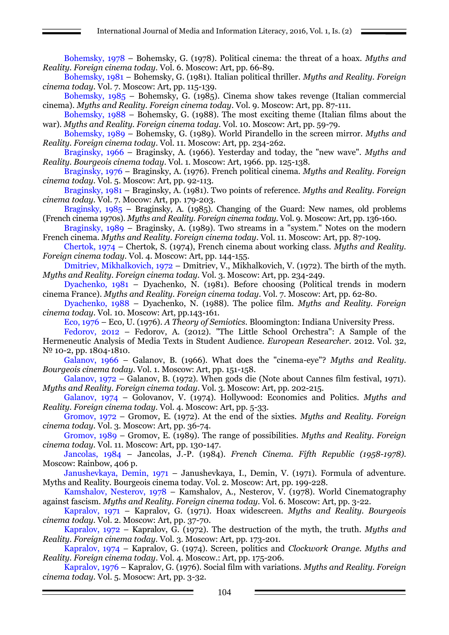Bohemsky, 1978 – Bohemsky, G. (1978). Political cinema: the threat of a hoax. *Myths and Reality. Foreign cinema today.* Vol. 6. Moscow: Art, pp. 66-89.

Bohemsky, 1981 – Bohemsky, G. (1981). Italian political thriller. *Myths and Reality. Foreign cinema today.* Vol. 7. Moscow: Art, pp. 115-139.

Bohemsky, 1985 – Bohemsky, G. (1985). Cinema show takes revenge (Italian commercial cinema). *Myths and Reality. Foreign cinema today*. Vol. 9. Moscow: Art, pp. 87-111.

Bohemsky, 1988 – Bohemsky, G. (1988). The most exciting theme (Italian films about the war). *Myths and Reality. Foreign cinema today*. Vol. 10. Moscow: Art, pp. 59-79.

Bohemsky, 1989 – Bohemsky, G. (1989). World Pirandello in the screen mirror. *Myths and Reality. Foreign cinema today*. Vol. 11. Moscow: Art, pp. 234-262.

Braginsky, 1966 – Braginsky, A. (1966). Yesterday and today, the "new wave". *Myths and Reality. Bourgeois cinema today*. Vol. 1. Moscow: Art, 1966. pp. 125-138.

Braginsky, 1976 – Braginsky, A. (1976). French political cinema. *Myths and Reality. Foreign cinema today.* Vol. 5. Moscow: Art, pp. 92-113.

Braginsky, 1981 – Braginsky, A. (1981). Two points of reference. *Myths and Reality. Foreign cinema today.* Vol. 7. Mocow: Art, pp. 179-203.

Braginsky, 1985 – Braginsky, A. (1985). Changing of the Guard: New names, old problems (French cinema 1970s). *Myths and Reality. Foreign cinema today.* Vol. 9. Moscow: Art, pp. 136-160.

Braginsky, 1989 – Braginsky, A. (1989). Two streams in a "system." Notes on the modern French cinema. *Myths and Reality. Foreign cinema today.* Vol. 11. Moscow: Art, pp. 87-109.

Chertok, 1974 – Chertok, S. (1974), French cinema about working class. *Myths and Reality. Foreign cinema today.* Vol. 4. Moscow: Art, pp. 144-155.

Dmitriev, Mikhalkovich, 1972 – Dmitriev, V., Mikhalkovich, V. (1972). The birth of the myth. *Myths and Reality. Foreign cinema today.* Vol. 3. Moscow: Art, pp. 234-249.

Dyachenko, 1981 – Dyachenko, N. (1981). Before choosing (Political trends in modern cinema France). *Myths and Reality. Foreign cinema today*. Vol. 7. Moscow: Art, pp. 62-80.

Dyachenko, 1988 – Dyachenko, N. (1988). The police film. *Myths and Reality. Foreign cinema today*. Vol. 10. Moscow: Art, pp.143-161.

Eco, 1976 – Eco, U. (1976). *A Theory of Semiotics.* Bloomington: Indiana University Press.

Fedorov, 2012 – Fedorov, A. (2012). "The Little School Orchestra'': A Sample of the Hermeneutic Analysis of Media Texts in Student Audience. *European Researcher.* 2012. Vol. 32, № 10-2, pp. 1804-1810.

Galanov, 1966 – Galanov, B. (1966). What does the "cinema-eye"? *Myths and Reality. Bourgeois cinema today*. Vol. 1. Moscow: Art, pp. 151-158.

Galanov, 1972 – Galanov, B. (1972). When gods die (Note about Cannes film festival, 1971). *Myths and Reality. Foreign cinema today*. Vol. 3. Moscow: Art, pp. 202-215.

Galanov, 1974 – Golovanov, V. (1974). Hollywood: Economics and Politics. *Myths and Reality. Foreign cinema today.* Vol. 4. Moscow: Art, pp. 5-33.

Gromov, 1972 – Gromov, E. (1972). At the end of the sixties. *Myths and Reality. Foreign cinema today.* Vol. 3. Moscow: Art, pp. 36-74.

Gromov, 1989 – Gromov, E. (1989). The range of possibilities. *Myths and Reality. Foreign cinema today.* Vol. 11. Moscow: Art, pp. 130-147.

Jancolas, 1984 – Jancolas, J.-P. (1984). *French Cinema. Fifth Republic (1958-1978).* Moscow: Rainbow, 406 p.

Janushevkaya, Demin, 1971 – Janushevkaya, I., Demin, V. (1971). Formula of adventure. Myths and Reality. Bourgeois cinema today. Vol. 2. Moscow: Art, pp. 199-228.

Kamshalov, Nesterov, 1978 – Kamshalov, A., Nesterov, V. (1978). World Cinematography against fascism. *Myths and Reality. Foreign cinema today*. Vol. 6. Moscow: Art, pp. 3-22.

Kapralov, 1971 – Kapralov, G. (1971). Hoax widescreen. *Myths and Reality. Bourgeois cinema today.* Vol. 2. Moscow: Art, pp. 37-70.

Kapralov, 1972 – Kapralov, G. (1972). The destruction of the myth, the truth. *Myths and Reality. Foreign cinema today.* Vol. 3. Moscow: Art, pp. 173-201.

Kapralov, 1974 – Kapralov, G. (1974). Screen, politics and *Clockwork Orange. Myths and Reality. Foreign cinema today*. Vol. 4. Moscow.: Art, pp. 175-206.

Kapralov, 1976 – Kapralov, G. (1976). Social film with variations. *Myths and Reality. Foreign cinema today.* Vol. 5. Mosocw: Art, pp. 3-32.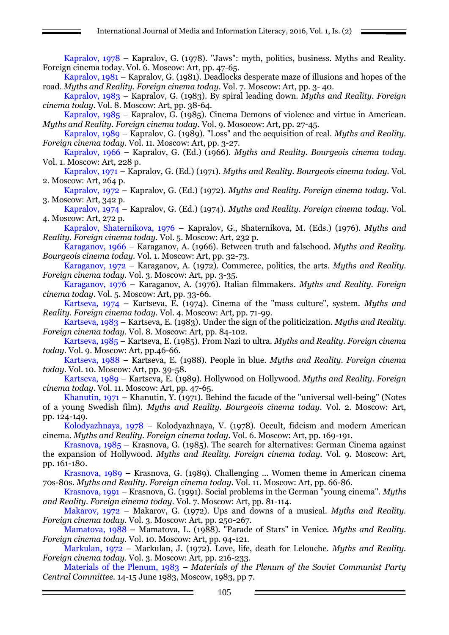Kapralov, 1978 – Kapralov, G. (1978). "Jaws": myth, politics, business. Myths and Reality. Foreign cinema today. Vol. 6. Moscow: Art, pp. 47-65.

Kapralov, 1981 – Kapralov, G. (1981). Deadlocks desperate maze of illusions and hopes of the road. *Myths and Reality. Foreign cinema today*. Vol. 7. Moscow: Art, pp. 3- 40.

Kapralov, 1983 – Kapralov, G. (1983). By spiral leading down. *Myths and Reality. Foreign cinema today.* Vol. 8. Moscow: Art, pp. 38-64.

Kapralov, 1985 – Kapralov, G. (1985). Cinema Demons of violence and virtue in American. *Myths and Reality. Foreign cinema today.* Vol. 9. Mosocow: Art, pp. 27-45.

Kapralov, 1989 – Kapralov, G. (1989). "Loss" and the acquisition of real. *Myths and Reality. Foreign cinema today*. Vol. 11. Moscow: Art, pp. 3-27.

Kapralov, 1966 – Kapralov, G. (Ed.) (1966). *Myths and Reality. Bourgeois cinema today.* Vol. 1. Moscow: Art, 228 p.

Kapralov, 1971 – Kapralov, G. (Ed.) (1971). *Myths and Reality. Bourgeois cinema today.* Vol. 2. Moscow: Art, 264 p.

Kapralov, 1972 – Kapralov, G. (Ed.) (1972). *Myths and Reality. Foreign cinema today.* Vol. 3. Moscow: Art, 342 p.

Kapralov, 1974 – Kapralov, G. (Ed.) (1974). *Myths and Reality. Foreign cinema today.* Vol. 4. Moscow: Art, 272 p.

Kapralov, Shaternikova, 1976 – Kapralov, G., Shaternikova, M. (Eds.) (1976). *Myths and Reality. Foreign cinema today.* Vol. 5. Moscow: Art, 232 p.

Karaganov, 1966 – Karaganov, A. (1966). Between truth and falsehood. *Myths and Reality. Bourgeois cinema today.* Vol. 1. Moscow: Art, pp. 32-73.

Karaganov, 1972 – Karaganov, A. (1972). Commerce, politics, the arts. *Myths and Reality. Foreign cinema today.* Vol. 3. Moscow: Art, pp. 3-35.

Karaganov, 1976 – Karaganov, A. (1976). Italian filmmakers. *Myths and Reality. Foreign cinema today*. Vol. 5. Moscow: Art, pp. 33-66.

Kartseva, 1974 – Kartseva, E. (1974). Cinema of the "mass culture", system. *Myths and Reality. Foreign cinema today.* Vol. 4. Moscow: Art, pp. 71-99.

Kartseva, 1983 – Kartseva, E. (1983). Under the sign of the politicization. *Myths and Reality. Foreign cinema today.* Vol. 8. Moscow: Art, pp. 84-102.

Kartseva, 1985 – Kartseva, E. (1985). From Nazi to ultra. *Myths and Reality. Foreign cinema today.* Vol. 9. Moscow: Art, pp.46-66.

Kartseva, 1988 – Kartseva, E. (1988). People in blue. *Myths and Reality. Foreign cinema today.* Vol. 10. Moscow: Art, pp. 39-58.

Kartseva, 1989 – Kartseva, E. (1989). Hollywood on Hollywood. *Myths and Reality. Foreign cinema today*. Vol. 11. Moscow: Art, pp. 47-65.

Khanutin,  $1971$  – Khanutin, Y. (1971). Behind the facade of the "universal well-being" (Notes of a young Swedish film). *Myths and Reality. Bourgeois cinema today*. Vol. 2. Moscow: Art, pp. 124-149.

Kolodyazhnaya, 1978 – Kolodyazhnaya, V. (1978). Occult, fideism and modern American cinema. *Myths and Reality. Foreign cinema today*. Vol. 6. Moscow: Art, pp. 169-191.

Krasnova, 1985 – Krasnova, G. (1985). The search for alternatives: German Cinema against the expansion of Hollywood. *Myths and Reality. Foreign cinema today.* Vol. 9. Moscow: Art, pp. 161-180.

Krasnova, 1989 – Krasnova, G. (1989). Challenging ... Women theme in American cinema 70s-80s. *Myths and Reality. Foreign cinema today*. Vol. 11. Moscow: Art, pp. 66-86.

Krasnova, 1991 – Krasnova, G. (1991). Social problems in the German "young cinema". *Myths and Reality. Foreign cinema today*. Vol. 7. Moscow: Art, pp. 81-114.

Makarov, 1972 – Makarov, G. (1972). Ups and downs of a musical. *Myths and Reality. Foreign cinema today*. Vol. 3. Moscow: Art, pp. 250-267.

Mamatova, 1988 – Mamatova, L. (1988). "Parade of Stars" in Venice. *Myths and Reality. Foreign cinema today.* Vol. 10. Moscow: Art, pp. 94-121.

Markulan, 1972 – Markulan, J. (1972). Love, life, death for Lelouche. *Myths and Reality. Foreign cinema today.* Vol. 3. Moscow: Art, pp. 216-233.

Materials of the Plenum, 1983 *– Materials of the Plenum of the Soviet Communist Party Central Committee.* 14-15 June 1983, Moscow, 1983, pp 7.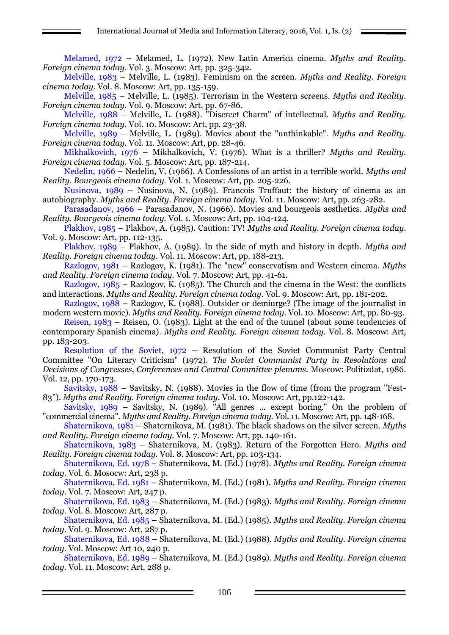Melamed, 1972 – Melamed, L. (1972). New Latin America cinema. *Myths and Reality. Foreign cinema today.* Vol. 3. Moscow: Art, pp. 325-342.

Melville, 1983 – Melville, L. (1983). Feminism on the screen. *Myths and Reality. Foreign cinema today.* Vol. 8. Moscow: Art, pp. 135-159.

Melville, 1985 – Melville, L. (1985). Terrorism in the Western screens. *Myths and Reality. Foreign cinema today.* Vol. 9. Moscow: Art, pp. 67-86.

Melville, 1988 – Melville, L. (1988). "Discreet Charm" of intellectual. *Myths and Reality. Foreign cinema today.* Vol. 10. Moscow: Art, pp. 23-38.

Melville, 1989 – Melville, L. (1989). Movies about the "unthinkable". *Myths and Reality. Foreign cinema today.* Vol. 11. Moscow: Art, pp. 28-46.

Mikhalkovich, 1976 – Mikhalkovich, V. (1976). What is a thriller? *Myths and Reality. Foreign cinema today.* Vol. 5. Moscow: Art, pp. 187-214.

Nedelin, 1966 – Nedelin, V. (1966). A Confessions of an artist in a terrible world. *Myths and Reality. Bourgeois cinema today.* Vol. 1. Moscow: Art, pp. 205-226.

Nusinova, 1989 – Nusinova, N. (1989). Francois Truffaut: the history of cinema as an autobiography. *Myths and Reality. Foreign cinema today*. Vol. 11. Moscow: Art, pp. 263-282.

Parasadanov, 1966 – Parasadanov, N. (1966). Movies and bourgeois aesthetics. *Myths and Reality. Bourgeois cinema today.* Vol. 1. Moscow: Art, pp. 104-124.

Plakhov, 1985 – Plakhov, A. (1985). Caution: TV! *Myths and Reality. Foreign cinema today*. Vol. 9. Moscow: Art, pp. 112-135.

Plakhov, 1989 – Plakhov, A. (1989). In the side of myth and history in depth. *Myths and Reality. Foreign cinema today.* Vol. 11. Moscow: Art, pp. 188-213.

Razlogov, 1981 – Razlogov, K. (1981). The "new" conservatism and Western cinema. *Myths and Reality. Foreign cinema today.* Vol. 7. Moscow: Art, pp. 41-61.

Razlogov, 1985 – Razlogov, K. (1985). The Church and the cinema in the West: the conflicts and interactions. *Myths and Reality. Foreign cinema today.* Vol. 9. Moscow: Art, pp. 181-202.

Razlogov, 1988 – Razlogov, K. (1988). Outsider or demiurge? (The image of the journalist in modern western movie). *Myths and Reality. Foreign cinema today*. Vol. 10. Moscow: Art, pp. 80-93.

Reisen, 1983 – Reisen, O. (1983). Light at the end of the tunnel (about some tendencies of contemporary Spanish cinema). *Myths and Reality. Foreign cinema today.* Vol. 8. Moscow: Art, pp. 183-203.

Resolution of the Soviet, 1972 – Resolution of the Soviet Communist Party Central Committee "On Literary Criticism" (1972). *The Soviet Communist Party in Resolutions and Decisions of Congresses, Conferences and Central Committee plenums.* Moscow: Politizdat, 1986. Vol. 12, pp. 170-173.

Savitsky, 1988 – Savitsky, N. (1988). Movies in the flow of time (from the program "Fest-83"). *Myths and Reality. Foreign cinema today*. Vol. 10. Moscow: Art, pp.122-142.

Savitsky, 1989 – Savitsky, N. (1989). "All genres ... except boring." On the problem of "commercial cinema". *Myths and Reality. Foreign cinema today.* Vol. 11. Moscow: Art, pp. 148-168.

Shaternikova, 1981 – Shaternikova, M. (1981). The black shadows on the silver screen. *Myths and Reality. Foreign cinema today.* Vol. 7. Moscow: Art, pp. 140-161.

Shaternikova, 1983 – Shaternikova, M. (1983). Return of the Forgotten Hero. *Myths and Reality. Foreign cinema today.* Vol. 8. Moscow: Art, pp. 103-134.

Shaternikova, Ed. 1978 – Shaternikova, M. (Ed.) (1978). *Myths and Reality. Foreign cinema today.* Vol. 6. Mosocw: Art, 238 p.

Shaternikova, Ed. 1981 – Shaternikova, M. (Ed.) (1981). *Myths and Reality. Foreign cinema today.* Vol. 7. Moscow: Art, 247 p.

Shaternikova, Ed. 1983 – Shaternikova, M. (Ed.) (1983). *Myths and Reality. Foreign cinema today.* Vol. 8. Moscow: Art, 287 p.

Shaternikova, Ed. 1985 – Shaternikova, M. (Ed.) (1985). *Myths and Reality. Foreign cinema today.* Vol. 9. Moscow: Art, 287 p.

Shaternikova, Ed. 1988 – Shaternikova, M. (Ed.) (1988). *Myths and Reality. Foreign cinema today.* Vol. Moscow: Art 10, 240 p.

Shaternikova, Ed. 1989 – Shaternikova, M. (Ed.) (1989). *Myths and Reality. Foreign cinema today.* Vol. 11. Moscow: Art, 288 p.